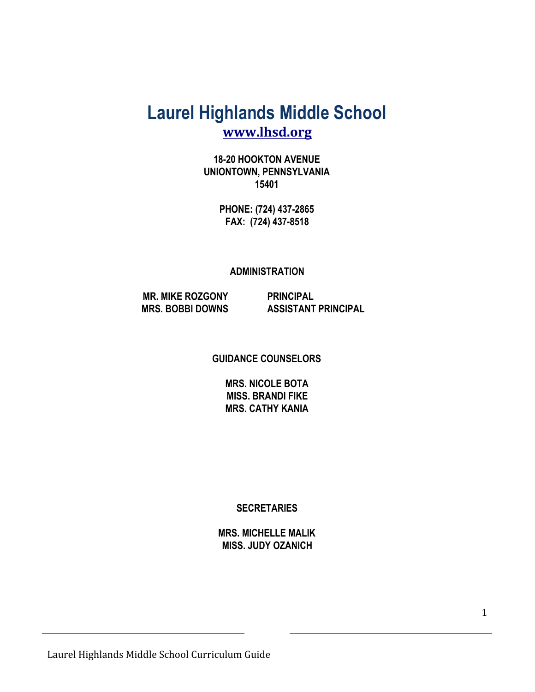# **Laurel Highlands Middle School [www.lhsd.org](http://www.lhsd.org/)**

**18-20 HOOKTON AVENUE UNIONTOWN, PENNSYLVANIA 15401**

> **PHONE: (724) 437-2865 FAX: (724) 437-8518**

#### **ADMINISTRATION**

 **MR. MIKE ROZGONY PRINCIPAL MRS. BOBBI DOWNS ASSISTANT PRINCIPAL**

**GUIDANCE COUNSELORS**

**MRS. NICOLE BOTA MISS. BRANDI FIKE MRS. CATHY KANIA**

**SECRETARIES**

**MRS. MICHELLE MALIK MISS. JUDY OZANICH**

Laurel Highlands Middle School Curriculum Guide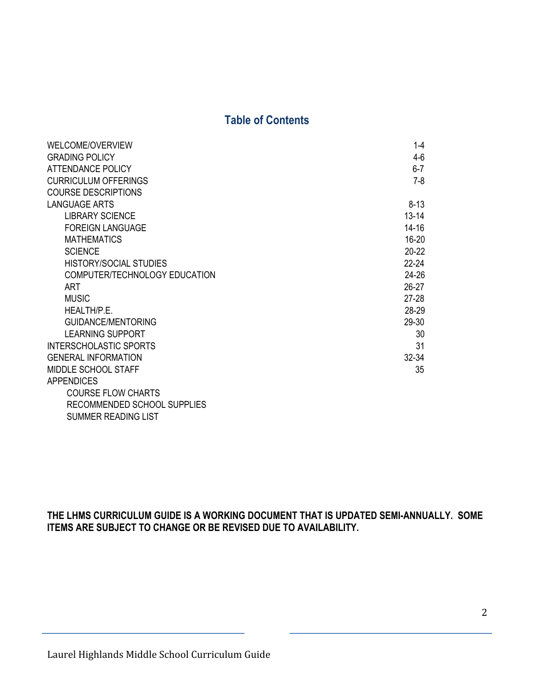#### **Table of Contents**

| <b>WELCOME/OVERVIEW</b>       | $1 - 4$   |
|-------------------------------|-----------|
| <b>GRADING POLICY</b>         | $4-6$     |
| <b>ATTENDANCE POLICY</b>      | $6-7$     |
| <b>CURRICULUM OFFERINGS</b>   | $7-8$     |
| <b>COURSE DESCRIPTIONS</b>    |           |
| <b>LANGUAGE ARTS</b>          | $8 - 13$  |
| <b>LIBRARY SCIENCE</b>        | $13 - 14$ |
| <b>FOREIGN LANGUAGE</b>       | $14 - 16$ |
| <b>MATHEMATICS</b>            | 16-20     |
| <b>SCIENCE</b>                | $20 - 22$ |
| <b>HISTORY/SOCIAL STUDIES</b> | $22 - 24$ |
| COMPUTER/TECHNOLOGY EDUCATION | 24-26     |
| <b>ART</b>                    | $26-27$   |
| <b>MUSIC</b>                  | $27-28$   |
| HEALTH/P.E.                   | 28-29     |
| <b>GUIDANCE/MENTORING</b>     | 29-30     |
| <b>LEARNING SUPPORT</b>       | 30        |
| <b>INTERSCHOLASTIC SPORTS</b> | 31        |
| <b>GENERAL INFORMATION</b>    | $32 - 34$ |
| MIDDLE SCHOOL STAFF           | 35        |
| <b>APPENDICES</b>             |           |
| <b>COURSE FLOW CHARTS</b>     |           |
| RECOMMENDED SCHOOL SUPPLIES   |           |
| <b>SUMMER READING LIST</b>    |           |

**THE LHMS CURRICULUM GUIDE IS A WORKING DOCUMENT THAT IS UPDATED SEMI-ANNUALLY. SOME ITEMS ARE SUBJECT TO CHANGE OR BE REVISED DUE TO AVAILABILITY.**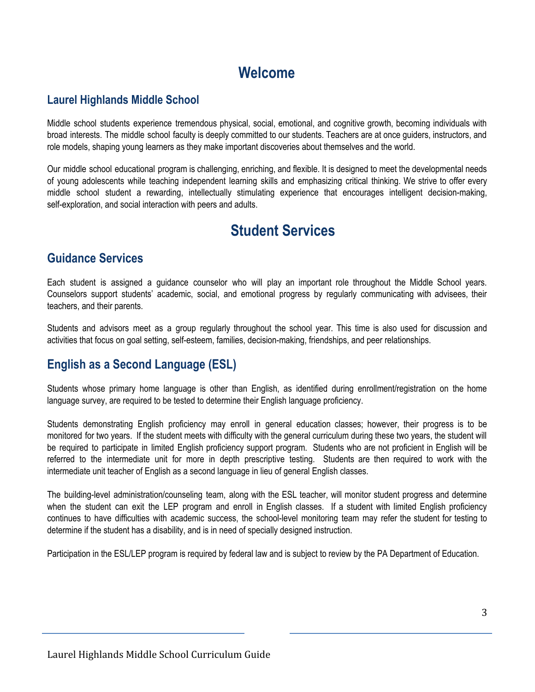# **Welcome**

#### **Laurel Highlands Middle School**

Middle school students experience tremendous physical, social, emotional, and cognitive growth, becoming individuals with broad interests. The middle school faculty is deeply committed to our students. Teachers are at once guiders, instructors, and role models, shaping young learners as they make important discoveries about themselves and the world.

Our middle school educational program is challenging, enriching, and flexible. It is designed to meet the developmental needs of young adolescents while teaching independent learning skills and emphasizing critical thinking. We strive to offer every middle school student a rewarding, intellectually stimulating experience that encourages intelligent decision-making, self-exploration, and social interaction with peers and adults.

# **Student Services**

#### **Guidance Services**

Each student is assigned a guidance counselor who will play an important role throughout the Middle School years. Counselors support students' academic, social, and emotional progress by regularly communicating with advisees, their teachers, and their parents.

Students and advisors meet as a group regularly throughout the school year. This time is also used for discussion and activities that focus on goal setting, self-esteem, families, decision-making, friendships, and peer relationships.

### **English as a Second Language (ESL)**

Students whose primary home language is other than English, as identified during enrollment/registration on the home language survey, are required to be tested to determine their English language proficiency.

Students demonstrating English proficiency may enroll in general education classes; however, their progress is to be monitored for two years. If the student meets with difficulty with the general curriculum during these two years, the student will be required to participate in limited English proficiency support program. Students who are not proficient in English will be referred to the intermediate unit for more in depth prescriptive testing. Students are then required to work with the intermediate unit teacher of English as a second language in lieu of general English classes.

The building-level administration/counseling team, along with the ESL teacher, will monitor student progress and determine when the student can exit the LEP program and enroll in English classes. If a student with limited English proficiency continues to have difficulties with academic success, the school-level monitoring team may refer the student for testing to determine if the student has a disability, and is in need of specially designed instruction.

Participation in the ESL/LEP program is required by federal law and is subject to review by the PA Department of Education.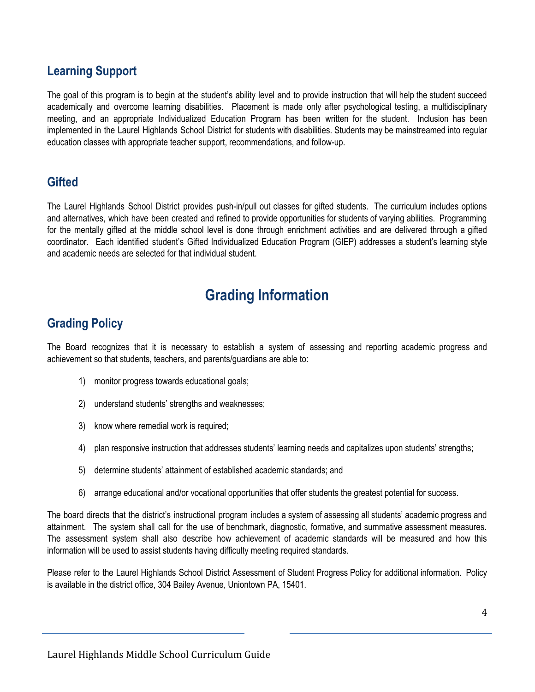### **Learning Support**

The goal of this program is to begin at the student's ability level and to provide instruction that will help the student succeed academically and overcome learning disabilities. Placement is made only after psychological testing, a multidisciplinary meeting, and an appropriate Individualized Education Program has been written for the student. Inclusion has been implemented in the Laurel Highlands School District for students with disabilities. Students may be mainstreamed into regular education classes with appropriate teacher support, recommendations, and follow-up.

#### **Gifted**

The Laurel Highlands School District provides push-in/pull out classes for gifted students. The curriculum includes options and alternatives, which have been created and refined to provide opportunities for students of varying abilities. Programming for the mentally gifted at the middle school level is done through enrichment activities and are delivered through a gifted coordinator. Each identified student's Gifted Individualized Education Program (GIEP) addresses a student's learning style and academic needs are selected for that individual student.

# **Grading Information**

#### **Grading Policy**

The Board recognizes that it is necessary to establish a system of assessing and reporting academic progress and achievement so that students, teachers, and parents/guardians are able to:

- 1) monitor progress towards educational goals;
- 2) understand students' strengths and weaknesses;
- 3) know where remedial work is required;
- 4) plan responsive instruction that addresses students' learning needs and capitalizes upon students' strengths;
- 5) determine students' attainment of established academic standards; and
- 6) arrange educational and/or vocational opportunities that offer students the greatest potential for success.

The board directs that the district's instructional program includes a system of assessing all students' academic progress and attainment. The system shall call for the use of benchmark, diagnostic, formative, and summative assessment measures. The assessment system shall also describe how achievement of academic standards will be measured and how this information will be used to assist students having difficulty meeting required standards.

Please refer to the Laurel Highlands School District Assessment of Student Progress Policy for additional information. Policy is available in the district office, 304 Bailey Avenue, Uniontown PA, 15401.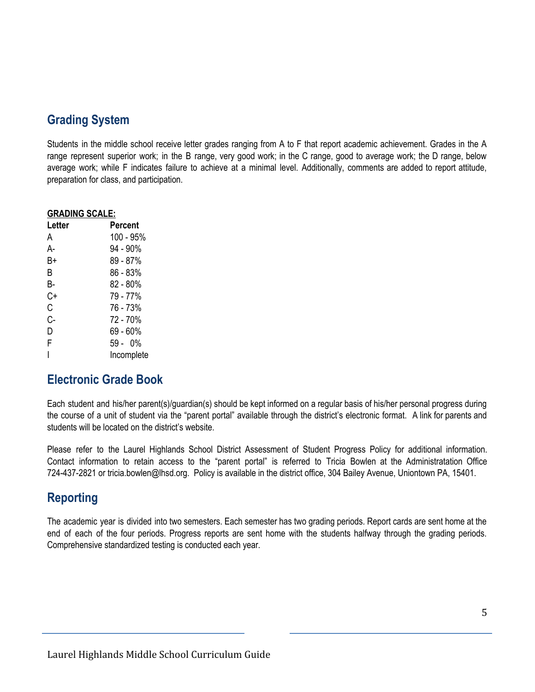### **Grading System**

Students in the middle school receive letter grades ranging from A to F that report academic achievement. Grades in the A range represent superior work; in the B range, very good work; in the C range, good to average work; the D range, below average work; while F indicates failure to achieve at a minimal level. Additionally, comments are added to report attitude, preparation for class, and participation.

| <b>GRADING SCALE:</b> |            |  |  |
|-----------------------|------------|--|--|
| Letter                | Percent    |  |  |
| А                     | 100 - 95%  |  |  |
| А-                    | 94 - 90%   |  |  |
| B+                    | 89 - 87%   |  |  |
| R                     | 86 - 83%   |  |  |
| В-                    | 82 - 80%   |  |  |
| C+                    | 79 - 77%   |  |  |
| С                     | 76 - 73%   |  |  |
| C-                    | 72 - 70%   |  |  |
| D                     | 69 - 60%   |  |  |
| F                     | 59 - 0%    |  |  |
|                       | Incomplete |  |  |

### **Electronic Grade Book**

Each student and his/her parent(s)/guardian(s) should be kept informed on a regular basis of his/her personal progress during the course of a unit of student via the "parent portal" available through the district's electronic format. A link for parents and students will be located on the district's website.

Please refer to the Laurel Highlands School District Assessment of Student Progress Policy for additional information. Contact information to retain access to the "parent portal" is referred to Tricia Bowlen at the Administratation Office 724-437-2821 or tricia.bowlen@lhsd.org. Policy is available in the district office, 304 Bailey Avenue, Uniontown PA, 15401.

### **Reporting**

The academic year is divided into two semesters. Each semester has two grading periods. Report cards are sent home at the end of each of the four periods. Progress reports are sent home with the students halfway through the grading periods. Comprehensive standardized testing is conducted each year.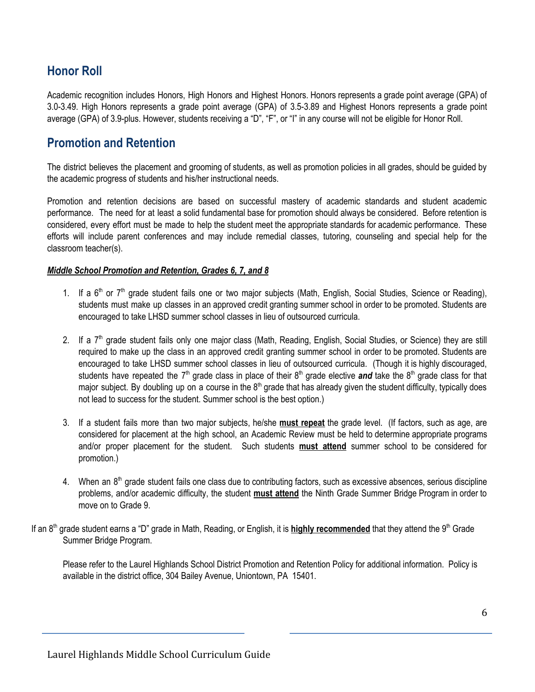### **Honor Roll**

Academic recognition includes Honors, High Honors and Highest Honors. Honors represents a grade point average (GPA) of 3.0-3.49. High Honors represents a grade point average (GPA) of 3.5-3.89 and Highest Honors represents a grade point average (GPA) of 3.9-plus. However, students receiving a "D", "F", or "I" in any course will not be eligible for Honor Roll.

### **Promotion and Retention**

The district believes the placement and grooming of students, as well as promotion policies in all grades, should be guided by the academic progress of students and his/her instructional needs.

Promotion and retention decisions are based on successful mastery of academic standards and student academic performance. The need for at least a solid fundamental base for promotion should always be considered. Before retention is considered, every effort must be made to help the student meet the appropriate standards for academic performance. These efforts will include parent conferences and may include remedial classes, tutoring, counseling and special help for the classroom teacher(s).

#### *Middle School Promotion and Retention, Grades 6, 7, and 8*

- 1. If a 6<sup>th</sup> or 7<sup>th</sup> grade student fails one or two major subjects (Math, English, Social Studies, Science or Reading), students must make up classes in an approved credit granting summer school in order to be promoted. Students are encouraged to take LHSD summer school classes in lieu of outsourced curricula.
- 2. If a 7<sup>th</sup> grade student fails only one major class (Math, Reading, English, Social Studies, or Science) they are still required to make up the class in an approved credit granting summer school in order to be promoted. Students are encouraged to take LHSD summer school classes in lieu of outsourced curricula. (Though it is highly discouraged, students have repeated the 7<sup>th</sup> grade class in place of their 8<sup>th</sup> grade elective *and* take the 8<sup>th</sup> grade class for that major subject. By doubling up on a course in the  $8<sup>th</sup>$  grade that has already given the student difficulty, typically does not lead to success for the student. Summer school is the best option.)
- 3. If a student fails more than two major subjects, he/she **must repeat** the grade level. (If factors, such as age, are considered for placement at the high school, an Academic Review must be held to determine appropriate programs and/or proper placement for the student. Such students **must attend** summer school to be considered for promotion.)
- 4. When an 8<sup>th</sup> grade student fails one class due to contributing factors, such as excessive absences, serious discipline problems, and/or academic difficulty, the student **must attend** the Ninth Grade Summer Bridge Program in order to move on to Grade 9.
- If an 8<sup>th</sup> grade student earns a "D" grade in Math, Reading, or English, it is **highly recommended** that they attend the 9<sup>th</sup> Grade Summer Bridge Program.

Please refer to the Laurel Highlands School District Promotion and Retention Policy for additional information. Policy is available in the district office, 304 Bailey Avenue, Uniontown, PA 15401.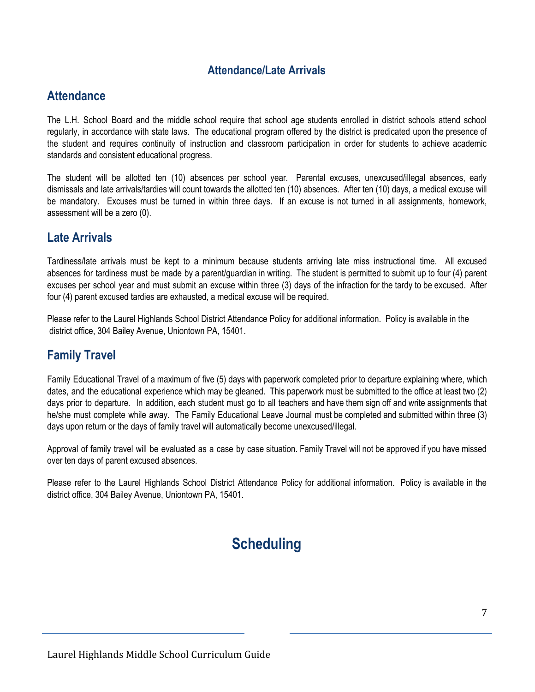#### **Attendance/Late Arrivals**

#### **Attendance**

The L.H. School Board and the middle school require that school age students enrolled in district schools attend school regularly, in accordance with state laws. The educational program offered by the district is predicated upon the presence of the student and requires continuity of instruction and classroom participation in order for students to achieve academic standards and consistent educational progress.

The student will be allotted ten (10) absences per school year. Parental excuses, unexcused/illegal absences, early dismissals and late arrivals/tardies will count towards the allotted ten (10) absences. After ten (10) days, a medical excuse will be mandatory. Excuses must be turned in within three days. If an excuse is not turned in all assignments, homework, assessment will be a zero (0).

#### **Late Arrivals**

Tardiness/late arrivals must be kept to a minimum because students arriving late miss instructional time. All excused absences for tardiness must be made by a parent/guardian in writing. The student is permitted to submit up to four (4) parent excuses per school year and must submit an excuse within three (3) days of the infraction for the tardy to be excused. After four (4) parent excused tardies are exhausted, a medical excuse will be required.

Please refer to the Laurel Highlands School District Attendance Policy for additional information. Policy is available in the district office, 304 Bailey Avenue, Uniontown PA, 15401.

### **Family Travel**

Family Educational Travel of a maximum of five (5) days with paperwork completed prior to departure explaining where, which dates, and the educational experience which may be gleaned. This paperwork must be submitted to the office at least two (2) days prior to departure. In addition, each student must go to all teachers and have them sign off and write assignments that he/she must complete while away. The Family Educational Leave Journal must be completed and submitted within three (3) days upon return or the days of family travel will automatically become unexcused/illegal.

Approval of family travel will be evaluated as a case by case situation. Family Travel will not be approved if you have missed over ten days of parent excused absences.

Please refer to the Laurel Highlands School District Attendance Policy for additional information. Policy is available in the district office, 304 Bailey Avenue, Uniontown PA, 15401.

# **Scheduling**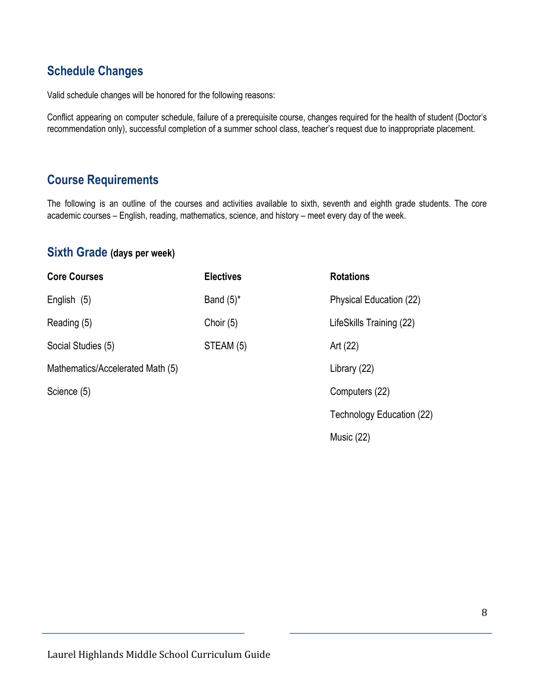### **Schedule Changes**

Valid schedule changes will be honored for the following reasons:

Conflict appearing on computer schedule, failure of a prerequisite course, changes required for the health of student (Doctor's recommendation only), successful completion of a summer school class, teacher's request due to inappropriate placement.

### **Course Requirements**

The following is an outline of the courses and activities available to sixth, seventh and eighth grade students. The core academic courses – English, reading, mathematics, science, and history – meet every day of the week.

#### **Sixth Grade (days per week)**

| <b>Core Courses</b>              | <b>Electives</b>                        | <b>Rotations</b>          |
|----------------------------------|-----------------------------------------|---------------------------|
| English (5)                      | Band $(5)^*$                            | Physical Education (22)   |
| Reading (5)                      | Choir $(5)$<br>LifeSkills Training (22) |                           |
| Social Studies (5)               | STEAM (5)                               | Art (22)                  |
| Mathematics/Accelerated Math (5) |                                         | Library (22)              |
| Science (5)                      |                                         | Computers (22)            |
|                                  |                                         | Technology Education (22) |
|                                  |                                         | Music (22)                |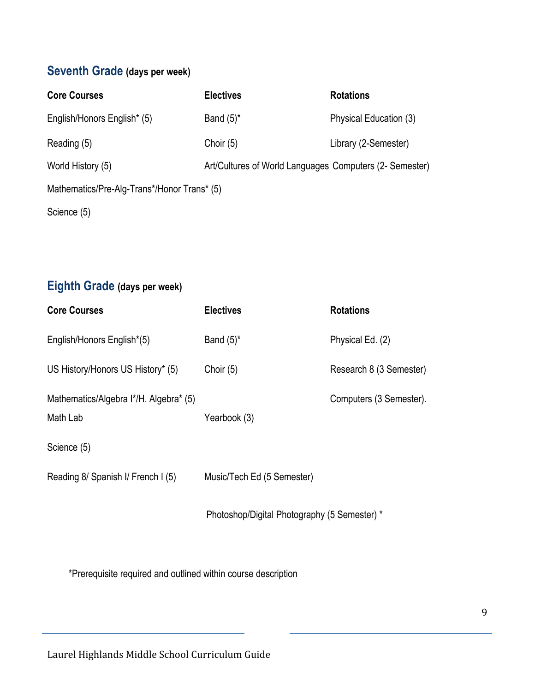# **Seventh Grade (days per week)**

| <b>Core Courses</b>                         | <b>Electives</b>                                        | <b>Rotations</b>       |  |
|---------------------------------------------|---------------------------------------------------------|------------------------|--|
| English/Honors English* (5)                 | Band $(5)^*$                                            | Physical Education (3) |  |
| Reading (5)                                 | Choir $(5)$                                             | Library (2-Semester)   |  |
| World History (5)                           | Art/Cultures of World Languages Computers (2- Semester) |                        |  |
| Mathematics/Pre-Alg-Trans*/Honor Trans* (5) |                                                         |                        |  |
| Science (5)                                 |                                                         |                        |  |

# **Eighth Grade (days per week)**

| <b>Core Courses</b>                                | <b>Electives</b>                             | <b>Rotations</b>        |
|----------------------------------------------------|----------------------------------------------|-------------------------|
| English/Honors English*(5)                         | Band $(5)^*$                                 | Physical Ed. (2)        |
| US History/Honors US History* (5)                  | Choir $(5)$                                  | Research 8 (3 Semester) |
| Mathematics/Algebra I*/H. Algebra* (5)<br>Math Lab | Yearbook (3)                                 | Computers (3 Semester). |
| Science (5)                                        |                                              |                         |
| Reading 8/ Spanish I/ French I (5)                 | Music/Tech Ed (5 Semester)                   |                         |
|                                                    | Photoshop/Digital Photography (5 Semester) * |                         |

\*Prerequisite required and outlined within course description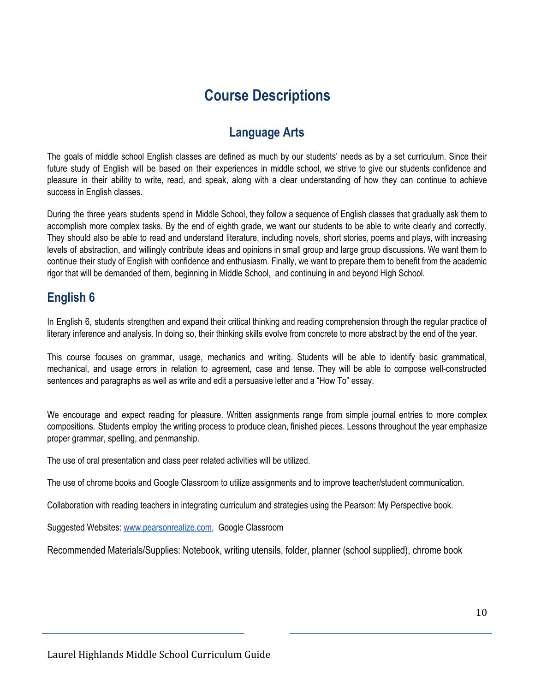# **Course Descriptions**

### **Language Arts**

The goals of middle school English classes are defined as much by our students' needs as by a set curriculum. Since their future study of English will be based on their experiences in middle school, we strive to give our students confidence and pleasure in their ability to write, read, and speak, along with a clear understanding of how they can continue to achieve success in English classes.

During the three years students spend in Middle School, they follow a sequence of English classes that gradually ask them to accomplish more complex tasks. By the end of eighth grade, we want our students to be able to write clearly and correctly. They should also be able to read and understand literature, including novels, short stories, poems and plays, with increasing levels of abstraction, and willingly contribute ideas and opinions in small group and large group discussions. We want them to continue their study of English with confidence and enthusiasm. Finally, we want to prepare them to benefit from the academic rigor that will be demanded of them, beginning in Middle School, and continuing in and beyond High School.

#### **English 6**

In English 6, students strengthen and expand their critical thinking and reading comprehension through the regular practice of literary inference and analysis. In doing so, their thinking skills evolve from concrete to more abstract by the end of the year.

This course focuses on grammar, usage, mechanics and writing. Students will be able to identify basic grammatical, mechanical, and usage errors in relation to agreement, case and tense. They will be able to compose well-constructed sentences and paragraphs as well as write and edit a persuasive letter and a "How To" essay.

We encourage and expect reading for pleasure. Written assignments range from simple journal entries to more complex compositions. Students employ the writing process to produce clean, finished pieces. Lessons throughout the year emphasize proper grammar, spelling, and penmanship.

The use of oral presentation and class peer related activities will be utilized.

The use of chrome books and Google Classroom to utilize assignments and to improve teacher/student communication.

Collaboration with reading teachers in integrating curriculum and strategies using the Pearson: My Perspective book.

Suggested Websites: [www.pearsonrealize.com](http://www.pearsonrealize.com/), Google Classroom

Recommended Materials/Supplies: Notebook, writing utensils, folder, planner (school supplied), chrome book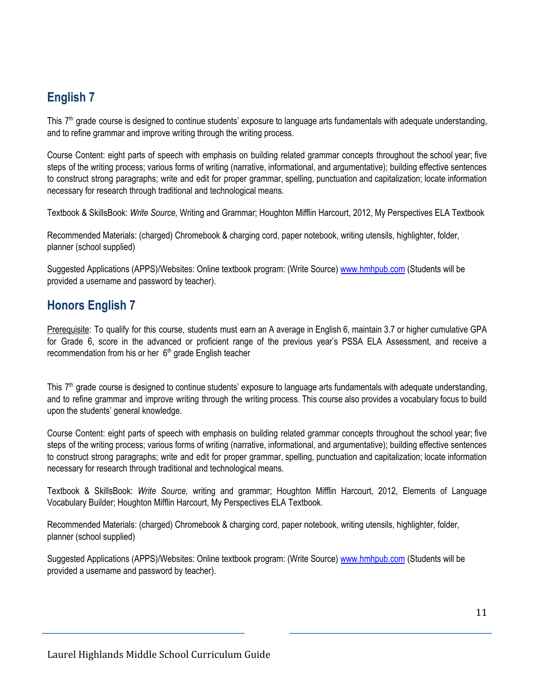# **English 7**

This  $7<sup>th</sup>$  grade course is designed to continue students' exposure to language arts fundamentals with adequate understanding, and to refine grammar and improve writing through the writing process.

Course Content: eight parts of speech with emphasis on building related grammar concepts throughout the school year; five steps of the writing process; various forms of writing (narrative, informational, and argumentative); building effective sentences to construct strong paragraphs; write and edit for proper grammar, spelling, punctuation and capitalization; locate information necessary for research through traditional and technological means.

Textbook & SkillsBook: *Write Source,* Writing and Grammar; Houghton Mifflin Harcourt, 2012, My Perspectives ELA Textbook

Recommended Materials: (charged) Chromebook & charging cord, paper notebook, writing utensils, highlighter, folder, planner (school supplied)

Suggested Applications (APPS)/Websites: Online textbook program: (Write Source) [www.hmhpub.com](http://www.hmhpub.com/) (Students will be provided a username and password by teacher).

### **Honors English 7**

Prerequisite: To qualify for this course, students must earn an A average in English 6, maintain 3.7 or higher cumulative GPA for Grade 6, score in the advanced or proficient range of the previous year's PSSA ELA Assessment, and receive a recommendation from his or her 6<sup>th</sup> grade English teacher

This  $7<sup>th</sup>$  grade course is designed to continue students' exposure to language arts fundamentals with adequate understanding, and to refine grammar and improve writing through the writing process. This course also provides a vocabulary focus to build upon the students' general knowledge.

Course Content: eight parts of speech with emphasis on building related grammar concepts throughout the school year; five steps of the writing process; various forms of writing (narrative, informational, and argumentative); building effective sentences to construct strong paragraphs; write and edit for proper grammar, spelling, punctuation and capitalization; locate information necessary for research through traditional and technological means.

Textbook & SkillsBook: *Write Source,* writing and grammar; Houghton Mifflin Harcourt, 2012, Elements of Language Vocabulary Builder; Houghton Mifflin Harcourt, My Perspectives ELA Textbook.

Recommended Materials: (charged) Chromebook & charging cord, paper notebook, writing utensils, highlighter, folder, planner (school supplied)

Suggested Applications (APPS)/Websites: Online textbook program: (Write Source) [www.hmhpub.com](http://www.hmhpub.com/) (Students will be provided a username and password by teacher).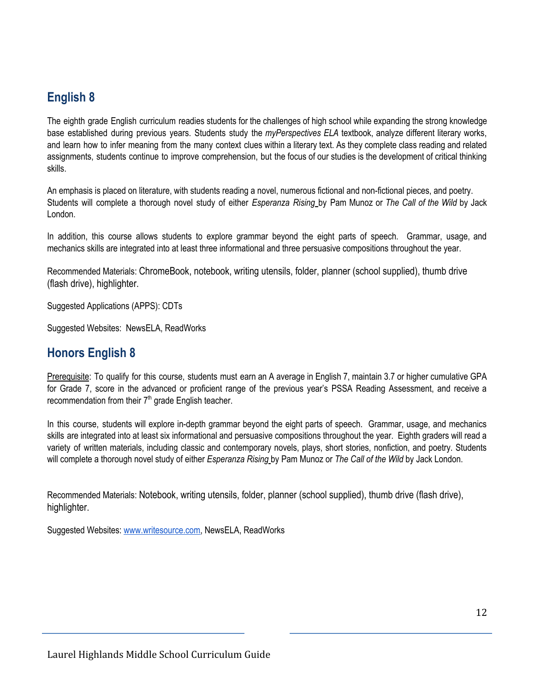## **English 8**

The eighth grade English curriculum readies students for the challenges of high school while expanding the strong knowledge base established during previous years. Students study the *myPerspectives ELA* textbook, analyze different literary works, and learn how to infer meaning from the many context clues within a literary text. As they complete class reading and related assignments, students continue to improve comprehension, but the focus of our studies is the development of critical thinking skills.

An emphasis is placed on literature, with students reading a novel, numerous fictional and non-fictional pieces, and poetry. Students will complete a thorough novel study of either *Esperanza Rising* by Pam Munoz or *The Call of the Wild* by Jack London.

In addition, this course allows students to explore grammar beyond the eight parts of speech. Grammar, usage, and mechanics skills are integrated into at least three informational and three persuasive compositions throughout the year.

Recommended Materials: ChromeBook, notebook, writing utensils, folder, planner (school supplied), thumb drive (flash drive), highlighter.

Suggested Applications (APPS): CDTs

Suggested Websites: NewsELA, ReadWorks

#### **Honors English 8**

Prerequisite: To qualify for this course, students must earn an A average in English 7, maintain 3.7 or higher cumulative GPA for Grade 7, score in the advanced or proficient range of the previous year's PSSA Reading Assessment, and receive a recommendation from their 7<sup>th</sup> grade English teacher.

In this course, students will explore in-depth grammar beyond the eight parts of speech. Grammar, usage, and mechanics skills are integrated into at least six informational and persuasive compositions throughout the year. Eighth graders will read a variety of written materials, including classic and contemporary novels, plays, short stories, nonfiction, and poetry. Students will complete a thorough novel study of either *Esperanza Rising* by Pam Munoz or *The Call of the Wild* by Jack London.

Recommended Materials: Notebook, writing utensils, folder, planner (school supplied), thumb drive (flash drive), highlighter.

Suggested Websites: [www.writesource.com,](http://www.writesource.com/) NewsELA, ReadWorks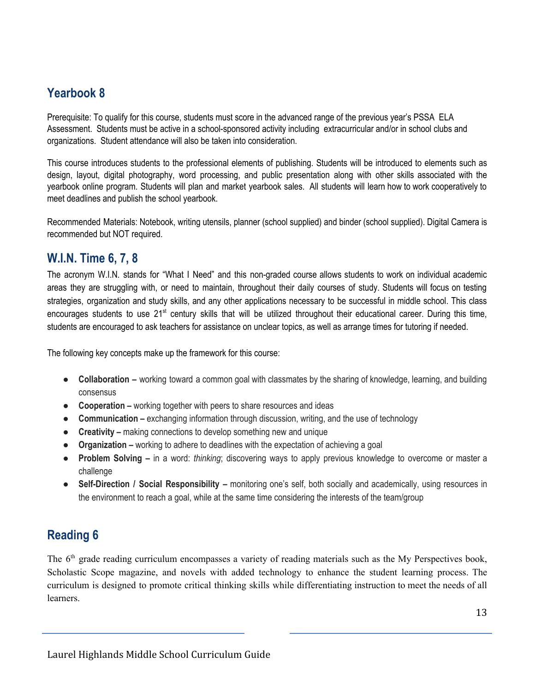### **Yearbook 8**

Prerequisite: To qualify for this course, students must score in the advanced range of the previous year's PSSA ELA Assessment. Students must be active in a school-sponsored activity including extracurricular and/or in school clubs and organizations. Student attendance will also be taken into consideration.

This course introduces students to the professional elements of publishing. Students will be introduced to elements such as design, layout, digital photography, word processing, and public presentation along with other skills associated with the yearbook online program. Students will plan and market yearbook sales. All students will learn how to work cooperatively to meet deadlines and publish the school yearbook.

Recommended Materials: Notebook, writing utensils, planner (school supplied) and binder (school supplied). Digital Camera is recommended but NOT required.

#### **W.I.N. Time 6, 7, 8**

The acronym W.I.N. stands for "What I Need" and this non-graded course allows students to work on individual academic areas they are struggling with, or need to maintain, throughout their daily courses of study. Students will focus on testing strategies, organization and study skills, and any other applications necessary to be successful in middle school. This class encourages students to use 21<sup>st</sup> century skills that will be utilized throughout their educational career. During this time, students are encouraged to ask teachers for assistance on unclear topics, as well as arrange times for tutoring if needed.

The following key concepts make up the framework for this course:

- **Collaboration –** working toward a common goal with classmates by the sharing of knowledge, learning, and building consensus
- **Cooperation –** working together with peers to share resources and ideas
- **• Communication** exchanging information through discussion, writing, and the use of technology
- **Creativity –** making connections to develop something new and unique
- **Organization –** working to adhere to deadlines with the expectation of achieving a goal
- **Problem Solving –** in a word: *thinking*; discovering ways to apply previous knowledge to overcome or master a challenge
- **Self-Direction / Social Responsibility –** monitoring one's self, both socially and academically, using resources in the environment to reach a goal, while at the same time considering the interests of the team/group

### **Reading 6**

The 6<sup>th</sup> grade reading curriculum encompasses a variety of reading materials such as the My Perspectives book, Scholastic Scope magazine, and novels with added technology to enhance the student learning process. The curriculum is designed to promote critical thinking skills while differentiating instruction to meet the needs of all learners.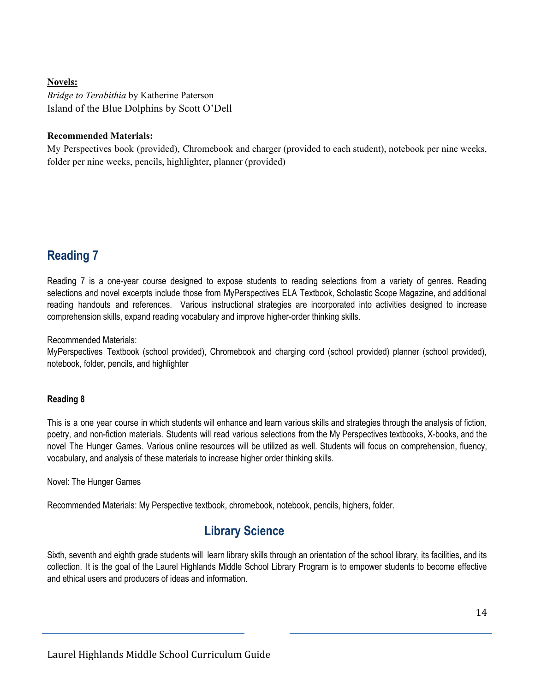#### **Novels:**

*Bridge to Terabithia* by Katherine Paterson Island of the Blue Dolphins by Scott O'Dell

#### **Recommended Materials:**

My Perspectives book (provided), Chromebook and charger (provided to each student), notebook per nine weeks, folder per nine weeks, pencils, highlighter, planner (provided)

### **Reading 7**

Reading 7 is a one-year course designed to expose students to reading selections from a variety of genres. Reading selections and novel excerpts include those from MyPerspectives ELA Textbook, Scholastic Scope Magazine, and additional reading handouts and references. Various instructional strategies are incorporated into activities designed to increase comprehension skills, expand reading vocabulary and improve higher-order thinking skills.

Recommended Materials:

MyPerspectives Textbook (school provided), Chromebook and charging cord (school provided) planner (school provided), notebook, folder, pencils, and highlighter

#### **Reading 8**

This is a one year course in which students will enhance and learn various skills and strategies through the analysis of fiction, poetry, and non-fiction materials. Students will read various selections from the My Perspectives textbooks, X-books, and the novel The Hunger Games. Various online resources will be utilized as well. Students will focus on comprehension, fluency, vocabulary, and analysis of these materials to increase higher order thinking skills.

Novel: The Hunger Games

Recommended Materials: My Perspective textbook, chromebook, notebook, pencils, highers, folder.

### **Library Science**

Sixth, seventh and eighth grade students will learn library skills through an orientation of the school library, its facilities, and its collection. It is the goal of the Laurel Highlands Middle School Library Program is to empower students to become effective and ethical users and producers of ideas and information.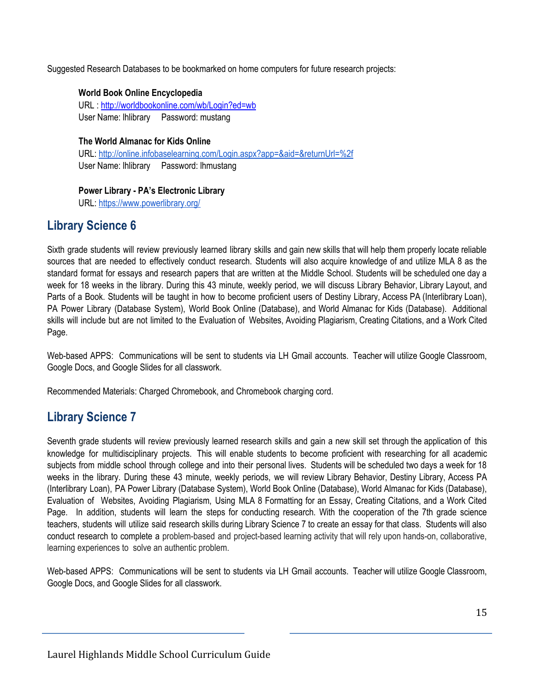Suggested Research Databases to be bookmarked on home computers for future research projects:

#### **World Book Online Encyclopedia**

URL : <http://worldbookonline.com/wb/Login?ed=wb> User Name: lhlibrary Password: mustang

#### **The World Almanac for Kids Online**

URL: <http://online.infobaselearning.com/Login.aspx?app=&aid=&returnUrl=%2f> User Name: lhlibrary Password: lhmustang

#### **Power Library - PA's Electronic Library**

URL: <https://www.powerlibrary.org/>

### **Library Science 6**

Sixth grade students will review previously learned library skills and gain new skills that will help them properly locate reliable sources that are needed to effectively conduct research. Students will also acquire knowledge of and utilize MLA 8 as the standard format for essays and research papers that are written at the Middle School. Students will be scheduled one day a week for 18 weeks in the library. During this 43 minute, weekly period, we will discuss Library Behavior, Library Layout, and Parts of a Book. Students will be taught in how to become proficient users of Destiny Library, Access PA (Interlibrary Loan), PA Power Library (Database System), World Book Online (Database), and World Almanac for Kids (Database). Additional skills will include but are not limited to the Evaluation of Websites, Avoiding Plagiarism, Creating Citations, and a Work Cited Page.

Web-based APPS: Communications will be sent to students via LH Gmail accounts. Teacher will utilize Google Classroom, Google Docs, and Google Slides for all classwork.

Recommended Materials: Charged Chromebook, and Chromebook charging cord.

### **Library Science 7**

Seventh grade students will review previously learned research skills and gain a new skill set through the application of this knowledge for multidisciplinary projects. This will enable students to become proficient with researching for all academic subjects from middle school through college and into their personal lives. Students will be scheduled two days a week for 18 weeks in the library. During these 43 minute, weekly periods, we will review Library Behavior, Destiny Library, Access PA (Interlibrary Loan), PA Power Library (Database System), World Book Online (Database), World Almanac for Kids (Database), Evaluation of Websites, Avoiding Plagiarism, Using MLA 8 Formatting for an Essay, Creating Citations, and a Work Cited Page. In addition, students will learn the steps for conducting research. With the cooperation of the 7th grade science teachers, students will utilize said research skills during Library Science 7 to create an essay for that class. Students will also conduct research to complete a problem-based and project-based learning activity that will rely upon hands-on, collaborative, learning experiences to solve an authentic problem.

Web-based APPS: Communications will be sent to students via LH Gmail accounts. Teacher will utilize Google Classroom, Google Docs, and Google Slides for all classwork.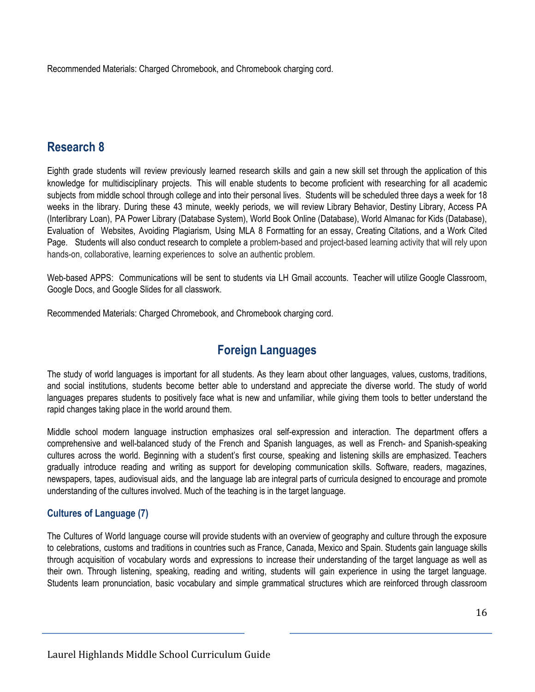Recommended Materials: Charged Chromebook, and Chromebook charging cord.

#### **Research 8**

Eighth grade students will review previously learned research skills and gain a new skill set through the application of this knowledge for multidisciplinary projects. This will enable students to become proficient with researching for all academic subjects from middle school through college and into their personal lives. Students will be scheduled three days a week for 18 weeks in the library. During these 43 minute, weekly periods, we will review Library Behavior, Destiny Library, Access PA (Interlibrary Loan), PA Power Library (Database System), World Book Online (Database), World Almanac for Kids (Database), Evaluation of Websites, Avoiding Plagiarism, Using MLA 8 Formatting for an essay, Creating Citations, and a Work Cited Page. Students will also conduct research to complete a problem-based and project-based learning activity that will rely upon hands-on, collaborative, learning experiences to solve an authentic problem.

Web-based APPS: Communications will be sent to students via LH Gmail accounts. Teacher will utilize Google Classroom, Google Docs, and Google Slides for all classwork.

Recommended Materials: Charged Chromebook, and Chromebook charging cord.

### **Foreign Languages**

The study of world languages is important for all students. As they learn about other languages, values, customs, traditions, and social institutions, students become better able to understand and appreciate the diverse world. The study of world languages prepares students to positively face what is new and unfamiliar, while giving them tools to better understand the rapid changes taking place in the world around them.

Middle school modern language instruction emphasizes oral self-expression and interaction. The department offers a comprehensive and well-balanced study of the French and Spanish languages, as well as French- and Spanish-speaking cultures across the world. Beginning with a student's first course, speaking and listening skills are emphasized. Teachers gradually introduce reading and writing as support for developing communication skills. Software, readers, magazines, newspapers, tapes, audiovisual aids, and the language lab are integral parts of curricula designed to encourage and promote understanding of the cultures involved. Much of the teaching is in the target language.

#### **Cultures of Language (7)**

The Cultures of World language course will provide students with an overview of geography and culture through the exposure to celebrations, customs and traditions in countries such as France, Canada, Mexico and Spain. Students gain language skills through acquisition of vocabulary words and expressions to increase their understanding of the target language as well as their own. Through listening, speaking, reading and writing, students will gain experience in using the target language. Students learn pronunciation, basic vocabulary and simple grammatical structures which are reinforced through classroom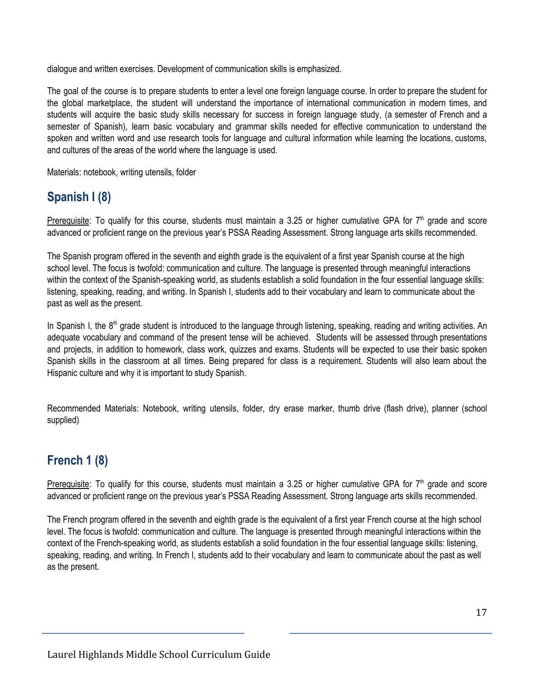dialogue and written exercises. Development of communication skills is emphasized.

The goal of the course is to prepare students to enter a level one foreign language course. In order to prepare the student for the global marketplace, the student will understand the importance of international communication in modern times, and students will acquire the basic study skills necessary for success in foreign language study, (a semester of French and a semester of Spanish), learn basic vocabulary and grammar skills needed for effective communication to understand the spoken and written word and use research tools for language and cultural information while learning the locations, customs, and cultures of the areas of the world where the language is used.

Materials: notebook, writing utensils, folder

## **Spanish I (8)**

Prerequisite: To qualify for this course, students must maintain a 3.25 or higher cumulative GPA for 7<sup>th</sup> grade and score advanced or proficient range on the previous year's PSSA Reading Assessment. Strong language arts skills recommended.

The Spanish program offered in the seventh and eighth grade is the equivalent of a first year Spanish course at the high school level. The focus is twofold: communication and culture. The language is presented through meaningful interactions within the context of the Spanish-speaking world, as students establish a solid foundation in the four essential language skills: listening, speaking, reading, and writing. In Spanish I, students add to their vocabulary and learn to communicate about the past as well as the present.

In Spanish I, the 8<sup>th</sup> grade student is introduced to the language through listening, speaking, reading and writing activities. An adequate vocabulary and command of the present tense will be achieved. Students will be assessed through presentations and projects, in addition to homework, class work, quizzes and exams. Students will be expected to use their basic spoken Spanish skills in the classroom at all times. Being prepared for class is a requirement. Students will also learn about the Hispanic culture and why it is important to study Spanish.

Recommended Materials: Notebook, writing utensils, folder, dry erase marker, thumb drive (flash drive), planner (school supplied)

### **French 1 (8)**

Prerequisite: To qualify for this course, students must maintain a 3.25 or higher cumulative GPA for 7<sup>th</sup> grade and score advanced or proficient range on the previous year's PSSA Reading Assessment. Strong language arts skills recommended.

The French program offered in the seventh and eighth grade is the equivalent of a first year French course at the high school level. The focus is twofold: communication and culture. The language is presented through meaningful interactions within the context of the French-speaking world, as students establish a solid foundation in the four essential language skills: listening, speaking, reading, and writing. In French I, students add to their vocabulary and learn to communicate about the past as well as the present.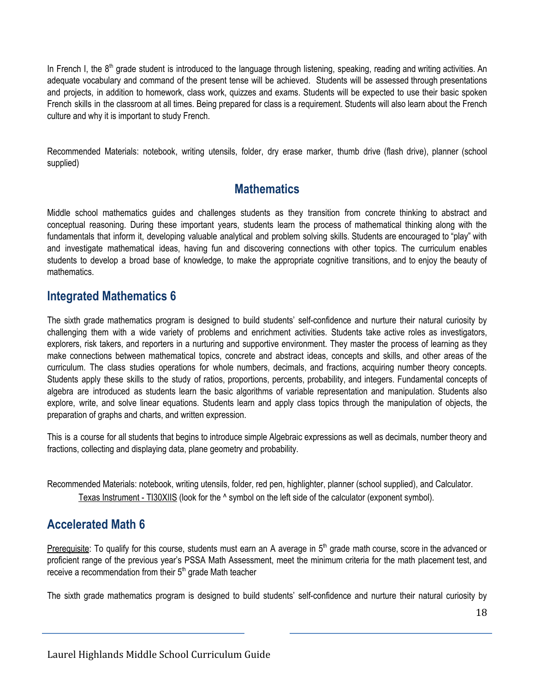In French I, the 8<sup>th</sup> grade student is introduced to the language through listening, speaking, reading and writing activities. An adequate vocabulary and command of the present tense will be achieved. Students will be assessed through presentations and projects, in addition to homework, class work, quizzes and exams. Students will be expected to use their basic spoken French skills in the classroom at all times. Being prepared for class is a requirement. Students will also learn about the French culture and why it is important to study French.

Recommended Materials: notebook, writing utensils, folder, dry erase marker, thumb drive (flash drive), planner (school supplied)

#### **Mathematics**

Middle school mathematics guides and challenges students as they transition from concrete thinking to abstract and conceptual reasoning. During these important years, students learn the process of mathematical thinking along with the fundamentals that inform it, developing valuable analytical and problem solving skills. Students are encouraged to "play" with and investigate mathematical ideas, having fun and discovering connections with other topics. The curriculum enables students to develop a broad base of knowledge, to make the appropriate cognitive transitions, and to enjoy the beauty of mathematics.

#### **Integrated Mathematics 6**

The sixth grade mathematics program is designed to build students' self-confidence and nurture their natural curiosity by challenging them with a wide variety of problems and enrichment activities. Students take active roles as investigators, explorers, risk takers, and reporters in a nurturing and supportive environment. They master the process of learning as they make connections between mathematical topics, concrete and abstract ideas, concepts and skills, and other areas of the curriculum. The class studies operations for whole numbers, decimals, and fractions, acquiring number theory concepts. Students apply these skills to the study of ratios, proportions, percents, probability, and integers. Fundamental concepts of algebra are introduced as students learn the basic algorithms of variable representation and manipulation. Students also explore, write, and solve linear equations. Students learn and apply class topics through the manipulation of objects, the preparation of graphs and charts, and written expression.

This is a course for all students that begins to introduce simple Algebraic expressions as well as decimals, number theory and fractions, collecting and displaying data, plane geometry and probability.

Recommended Materials: notebook, writing utensils, folder, red pen, highlighter, planner (school supplied), and Calculator. Texas Instrument - TI30XIIS (look for the ^ symbol on the left side of the calculator (exponent symbol).

### **Accelerated Math 6**

Prerequisite: To qualify for this course, students must earn an A average in 5<sup>th</sup> grade math course, score in the advanced or proficient range of the previous year's PSSA Math Assessment, meet the minimum criteria for the math placement test, and receive a recommendation from their 5<sup>th</sup> grade Math teacher

The sixth grade mathematics program is designed to build students' self-confidence and nurture their natural curiosity by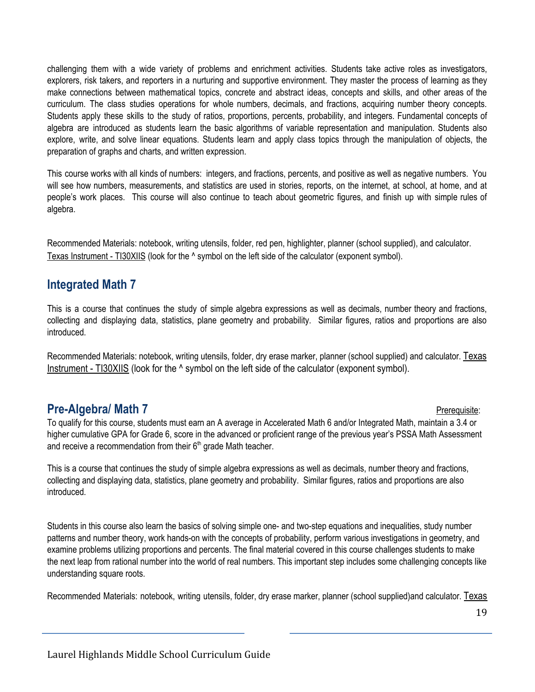challenging them with a wide variety of problems and enrichment activities. Students take active roles as investigators, explorers, risk takers, and reporters in a nurturing and supportive environment. They master the process of learning as they make connections between mathematical topics, concrete and abstract ideas, concepts and skills, and other areas of the curriculum. The class studies operations for whole numbers, decimals, and fractions, acquiring number theory concepts. Students apply these skills to the study of ratios, proportions, percents, probability, and integers. Fundamental concepts of algebra are introduced as students learn the basic algorithms of variable representation and manipulation. Students also explore, write, and solve linear equations. Students learn and apply class topics through the manipulation of objects, the preparation of graphs and charts, and written expression.

This course works with all kinds of numbers: integers, and fractions, percents, and positive as well as negative numbers. You will see how numbers, measurements, and statistics are used in stories, reports, on the internet, at school, at home, and at people's work places. This course will also continue to teach about geometric figures, and finish up with simple rules of algebra.

Recommended Materials: notebook, writing utensils, folder, red pen, highlighter, planner (school supplied), and calculator. Texas Instrument - TI30XIIS (look for the ^ symbol on the left side of the calculator (exponent symbol).

#### **Integrated Math 7**

This is a course that continues the study of simple algebra expressions as well as decimals, number theory and fractions, collecting and displaying data, statistics, plane geometry and probability. Similar figures, ratios and proportions are also introduced.

Recommended Materials: notebook, writing utensils, folder, dry erase marker, planner (school supplied) and calculator. Texas Instrument - TI30XIIS (look for the ^ symbol on the left side of the calculator (exponent symbol).

#### **Pre-Algebra/ Math 7** Pre-**Algebra/ Math 7** Presequisite:

To qualify for this course, students must earn an A average in Accelerated Math 6 and/or Integrated Math, maintain a 3.4 or higher cumulative GPA for Grade 6, score in the advanced or proficient range of the previous year's PSSA Math Assessment and receive a recommendation from their 6<sup>th</sup> grade Math teacher.

This is a course that continues the study of simple algebra expressions as well as decimals, number theory and fractions, collecting and displaying data, statistics, plane geometry and probability. Similar figures, ratios and proportions are also introduced.

Students in this course also learn the basics of solving simple one- and two-step equations and inequalities, study number patterns and number theory, work hands-on with the concepts of probability, perform various investigations in geometry, and examine problems utilizing proportions and percents. The final material covered in this course challenges students to make the next leap from rational number into the world of real numbers. This important step includes some challenging concepts like understanding square roots.

Recommended Materials: notebook, writing utensils, folder, dry erase marker, planner (school supplied)and calculator. Texas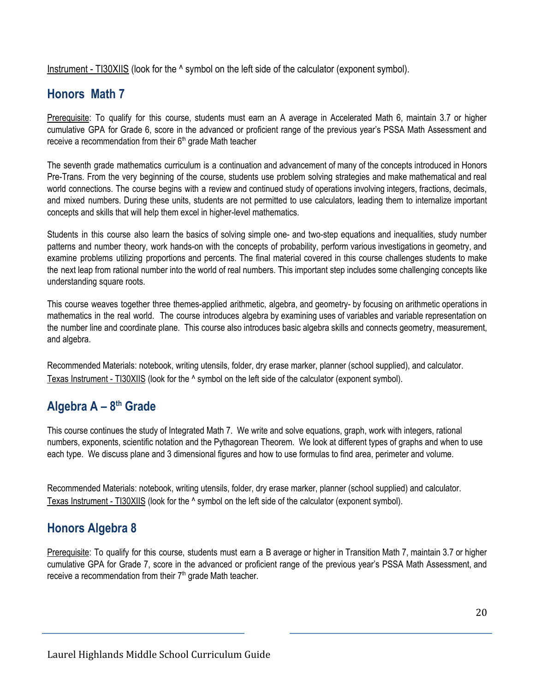Instrument - TI30XIIS (look for the ^ symbol on the left side of the calculator (exponent symbol).

### **Honors Math 7**

Prerequisite: To qualify for this course, students must earn an A average in Accelerated Math 6, maintain 3.7 or higher cumulative GPA for Grade 6, score in the advanced or proficient range of the previous year's PSSA Math Assessment and receive a recommendation from their 6<sup>th</sup> grade Math teacher

The seventh grade mathematics curriculum is a continuation and advancement of many of the concepts introduced in Honors Pre-Trans. From the very beginning of the course, students use problem solving strategies and make mathematical and real world connections. The course begins with a review and continued study of operations involving integers, fractions, decimals, and mixed numbers. During these units, students are not permitted to use calculators, leading them to internalize important concepts and skills that will help them excel in higher-level mathematics.

Students in this course also learn the basics of solving simple one- and two-step equations and inequalities, study number patterns and number theory, work hands-on with the concepts of probability, perform various investigations in geometry, and examine problems utilizing proportions and percents. The final material covered in this course challenges students to make the next leap from rational number into the world of real numbers. This important step includes some challenging concepts like understanding square roots.

This course weaves together three themes-applied arithmetic, algebra, and geometry- by focusing on arithmetic operations in mathematics in the real world. The course introduces algebra by examining uses of variables and variable representation on the number line and coordinate plane. This course also introduces basic algebra skills and connects geometry, measurement, and algebra.

Recommended Materials: notebook, writing utensils, folder, dry erase marker, planner (school supplied), and calculator. Texas Instrument - TI30XIIS (look for the ^ symbol on the left side of the calculator (exponent symbol).

### **Algebra A – 8th Grade**

This course continues the study of Integrated Math 7. We write and solve equations, graph, work with integers, rational numbers, exponents, scientific notation and the Pythagorean Theorem. We look at different types of graphs and when to use each type. We discuss plane and 3 dimensional figures and how to use formulas to find area, perimeter and volume.

Recommended Materials: notebook, writing utensils, folder, dry erase marker, planner (school supplied) and calculator. Texas Instrument - TI30XIIS (look for the ^ symbol on the left side of the calculator (exponent symbol).

### **Honors Algebra 8**

Prerequisite: To qualify for this course, students must earn a B average or higher in Transition Math 7, maintain 3.7 or higher cumulative GPA for Grade 7, score in the advanced or proficient range of the previous year's PSSA Math Assessment, and receive a recommendation from their 7<sup>th</sup> grade Math teacher.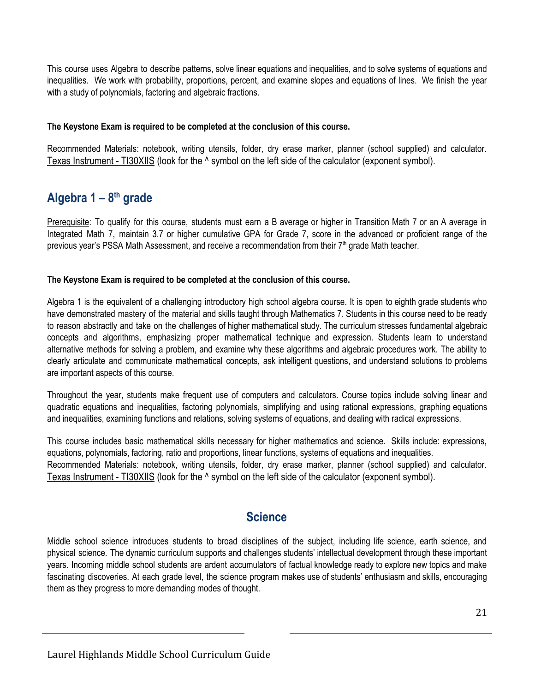This course uses Algebra to describe patterns, solve linear equations and inequalities, and to solve systems of equations and inequalities. We work with probability, proportions, percent, and examine slopes and equations of lines. We finish the year with a study of polynomials, factoring and algebraic fractions.

#### **The Keystone Exam is required to be completed at the conclusion of this course.**

Recommended Materials: notebook, writing utensils, folder, dry erase marker, planner (school supplied) and calculator. Texas Instrument - TI30XIIS (look for the ^ symbol on the left side of the calculator (exponent symbol).

### **Algebra 1 – 8th grade**

Prerequisite: To qualify for this course, students must earn a B average or higher in Transition Math 7 or an A average in Integrated Math 7, maintain 3.7 or higher cumulative GPA for Grade 7, score in the advanced or proficient range of the previous year's PSSA Math Assessment, and receive a recommendation from their 7<sup>th</sup> grade Math teacher.

#### **The Keystone Exam is required to be completed at the conclusion of this course.**

Algebra 1 is the equivalent of a challenging introductory high school algebra course. It is open to eighth grade students who have demonstrated mastery of the material and skills taught through Mathematics 7. Students in this course need to be ready to reason abstractly and take on the challenges of higher mathematical study. The curriculum stresses fundamental algebraic concepts and algorithms, emphasizing proper mathematical technique and expression. Students learn to understand alternative methods for solving a problem, and examine why these algorithms and algebraic procedures work. The ability to clearly articulate and communicate mathematical concepts, ask intelligent questions, and understand solutions to problems are important aspects of this course.

Throughout the year, students make frequent use of computers and calculators. Course topics include solving linear and quadratic equations and inequalities, factoring polynomials, simplifying and using rational expressions, graphing equations and inequalities, examining functions and relations, solving systems of equations, and dealing with radical expressions.

This course includes basic mathematical skills necessary for higher mathematics and science. Skills include: expressions, equations, polynomials, factoring, ratio and proportions, linear functions, systems of equations and inequalities. Recommended Materials: notebook, writing utensils, folder, dry erase marker, planner (school supplied) and calculator. Texas Instrument - TI30XIIS (look for the ^ symbol on the left side of the calculator (exponent symbol).

#### **Science**

Middle school science introduces students to broad disciplines of the subject, including life science, earth science, and physical science. The dynamic curriculum supports and challenges students' intellectual development through these important years. Incoming middle school students are ardent accumulators of factual knowledge ready to explore new topics and make fascinating discoveries. At each grade level, the science program makes use of students' enthusiasm and skills, encouraging them as they progress to more demanding modes of thought.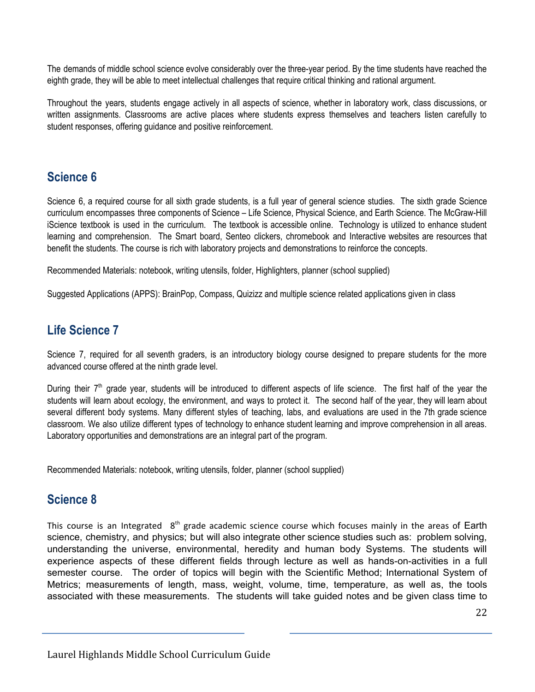The demands of middle school science evolve considerably over the three-year period. By the time students have reached the eighth grade, they will be able to meet intellectual challenges that require critical thinking and rational argument.

Throughout the years, students engage actively in all aspects of science, whether in laboratory work, class discussions, or written assignments. Classrooms are active places where students express themselves and teachers listen carefully to student responses, offering guidance and positive reinforcement.

#### **Science 6**

Science 6, a required course for all sixth grade students, is a full year of general science studies. The sixth grade Science curriculum encompasses three components of Science – Life Science, Physical Science, and Earth Science. The McGraw-Hill iScience textbook is used in the curriculum. The textbook is accessible online. Technology is utilized to enhance student learning and comprehension. The Smart board, Senteo clickers, chromebook and Interactive websites are resources that benefit the students. The course is rich with laboratory projects and demonstrations to reinforce the concepts.

Recommended Materials: notebook, writing utensils, folder, Highlighters, planner (school supplied)

Suggested Applications (APPS): BrainPop, Compass, Quizizz and multiple science related applications given in class

### **Life Science 7**

Science 7, required for all seventh graders, is an introductory biology course designed to prepare students for the more advanced course offered at the ninth grade level.

During their 7<sup>th</sup> grade year, students will be introduced to different aspects of life science. The first half of the year the students will learn about ecology, the environment, and ways to protect it. The second half of the year, they will learn about several different body systems. Many different styles of teaching, labs, and evaluations are used in the 7th grade science classroom. We also utilize different types of technology to enhance student learning and improve comprehension in all areas. Laboratory opportunities and demonstrations are an integral part of the program.

Recommended Materials: notebook, writing utensils, folder, planner (school supplied)

#### **Science 8**

This course is an Integrated  $8<sup>th</sup>$  grade academic science course which focuses mainly in the areas of Earth science, chemistry, and physics; but will also integrate other science studies such as: problem solving, understanding the universe, environmental, heredity and human body Systems. The students will experience aspects of these different fields through lecture as well as hands-on-activities in a full semester course. The order of topics will begin with the Scientific Method; International System of Metrics; measurements of length, mass, weight, volume, time, temperature, as well as, the tools associated with these measurements. The students will take guided notes and be given class time to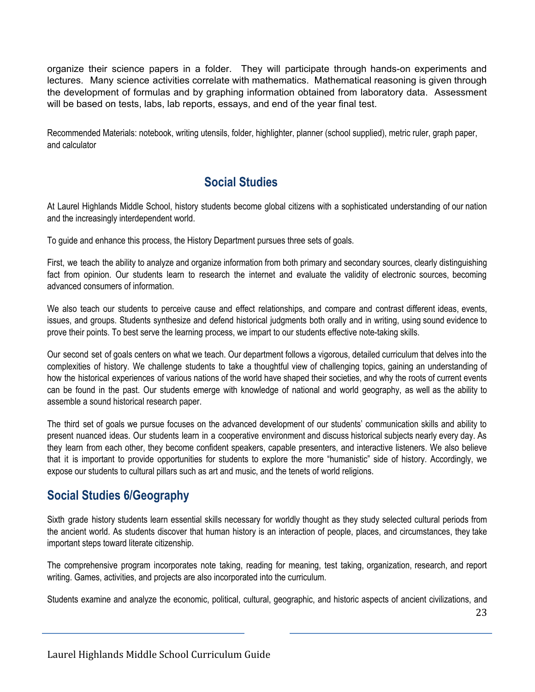organize their science papers in a folder. They will participate through hands-on experiments and lectures. Many science activities correlate with mathematics. Mathematical reasoning is given through the development of formulas and by graphing information obtained from laboratory data. Assessment will be based on tests, labs, lab reports, essays, and end of the year final test.

Recommended Materials: notebook, writing utensils, folder, highlighter, planner (school supplied), metric ruler, graph paper, and calculator

#### **Social Studies**

At Laurel Highlands Middle School, history students become global citizens with a sophisticated understanding of our nation and the increasingly interdependent world.

To guide and enhance this process, the History Department pursues three sets of goals.

First, we teach the ability to analyze and organize information from both primary and secondary sources, clearly distinguishing fact from opinion. Our students learn to research the internet and evaluate the validity of electronic sources, becoming advanced consumers of information.

We also teach our students to perceive cause and effect relationships, and compare and contrast different ideas, events, issues, and groups. Students synthesize and defend historical judgments both orally and in writing, using sound evidence to prove their points. To best serve the learning process, we impart to our students effective note-taking skills.

Our second set of goals centers on what we teach. Our department follows a vigorous, detailed curriculum that delves into the complexities of history. We challenge students to take a thoughtful view of challenging topics, gaining an understanding of how the historical experiences of various nations of the world have shaped their societies, and why the roots of current events can be found in the past. Our students emerge with knowledge of national and world geography, as well as the ability to assemble a sound historical research paper.

The third set of goals we pursue focuses on the advanced development of our students' communication skills and ability to present nuanced ideas. Our students learn in a cooperative environment and discuss historical subjects nearly every day. As they learn from each other, they become confident speakers, capable presenters, and interactive listeners. We also believe that it is important to provide opportunities for students to explore the more "humanistic" side of history. Accordingly, we expose our students to cultural pillars such as art and music, and the tenets of world religions.

### **Social Studies 6/Geography**

Sixth grade history students learn essential skills necessary for worldly thought as they study selected cultural periods from the ancient world. As students discover that human history is an interaction of people, places, and circumstances, they take important steps toward literate citizenship.

The comprehensive program incorporates note taking, reading for meaning, test taking, organization, research, and report writing. Games, activities, and projects are also incorporated into the curriculum.

Students examine and analyze the economic, political, cultural, geographic, and historic aspects of ancient civilizations, and

23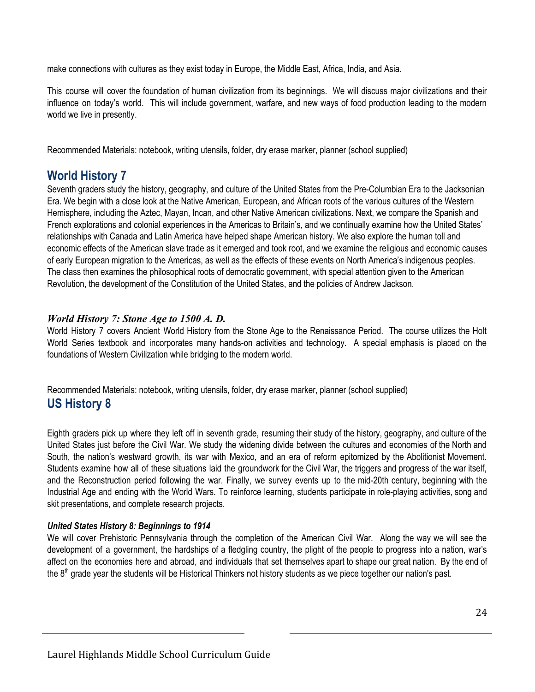make connections with cultures as they exist today in Europe, the Middle East, Africa, India, and Asia.

This course will cover the foundation of human civilization from its beginnings. We will discuss major civilizations and their influence on today's world. This will include government, warfare, and new ways of food production leading to the modern world we live in presently.

Recommended Materials: notebook, writing utensils, folder, dry erase marker, planner (school supplied)

#### **World History 7**

Seventh graders study the history, geography, and culture of the United States from the Pre-Columbian Era to the Jacksonian Era. We begin with a close look at the Native American, European, and African roots of the various cultures of the Western Hemisphere, including the Aztec, Mayan, Incan, and other Native American civilizations. Next, we compare the Spanish and French explorations and colonial experiences in the Americas to Britain's, and we continually examine how the United States' relationships with Canada and Latin America have helped shape American history. We also explore the human toll and economic effects of the American slave trade as it emerged and took root, and we examine the religious and economic causes of early European migration to the Americas, as well as the effects of these events on North America's indigenous peoples. The class then examines the philosophical roots of democratic government, with special attention given to the American Revolution, the development of the Constitution of the United States, and the policies of Andrew Jackson.

#### *World History 7: Stone Age to 1500 A. D.*

World History 7 covers Ancient World History from the Stone Age to the Renaissance Period. The course utilizes the Holt World Series textbook and incorporates many hands-on activities and technology. A special emphasis is placed on the foundations of Western Civilization while bridging to the modern world.

Recommended Materials: notebook, writing utensils, folder, dry erase marker, planner (school supplied) **US History 8**

Eighth graders pick up where they left off in seventh grade, resuming their study of the history, geography, and culture of the United States just before the Civil War. We study the widening divide between the cultures and economies of the North and South, the nation's westward growth, its war with Mexico, and an era of reform epitomized by the Abolitionist Movement. Students examine how all of these situations laid the groundwork for the Civil War, the triggers and progress of the war itself, and the Reconstruction period following the war. Finally, we survey events up to the mid-20th century, beginning with the Industrial Age and ending with the World Wars. To reinforce learning, students participate in role-playing activities, song and skit presentations, and complete research projects.

#### *United States History 8: Beginnings to 1914*

We will cover Prehistoric Pennsylvania through the completion of the American Civil War. Along the way we will see the development of a government, the hardships of a fledgling country, the plight of the people to progress into a nation, war's affect on the economies here and abroad, and individuals that set themselves apart to shape our great nation. By the end of the 8<sup>th</sup> grade year the students will be Historical Thinkers not history students as we piece together our nation's past.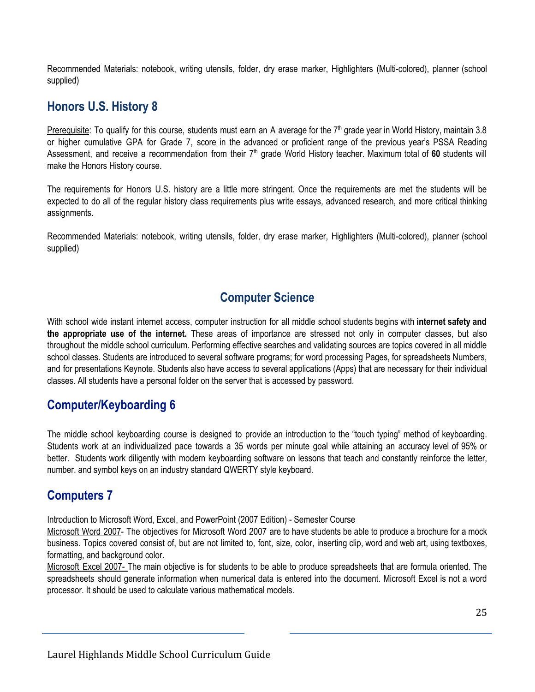Recommended Materials: notebook, writing utensils, folder, dry erase marker, Highlighters (Multi-colored), planner (school supplied)

### **Honors U.S. History 8**

Prerequisite: To qualify for this course, students must earn an A average for the 7<sup>th</sup> grade year in World History, maintain 3.8 or higher cumulative GPA for Grade 7, score in the advanced or proficient range of the previous year's PSSA Reading Assessment, and receive a recommendation from their 7<sup>th</sup> grade World History teacher. Maximum total of 60 students will make the Honors History course.

The requirements for Honors U.S. history are a little more stringent. Once the requirements are met the students will be expected to do all of the regular history class requirements plus write essays, advanced research, and more critical thinking assignments.

Recommended Materials: notebook, writing utensils, folder, dry erase marker, Highlighters (Multi-colored), planner (school supplied)

### **Computer Science**

With school wide instant internet access, computer instruction for all middle school students begins with **internet safety and the appropriate use of the internet.** These areas of importance are stressed not only in computer classes, but also throughout the middle school curriculum. Performing effective searches and validating sources are topics covered in all middle school classes. Students are introduced to several software programs; for word processing Pages, for spreadsheets Numbers, and for presentations Keynote. Students also have access to several applications (Apps) that are necessary for their individual classes. All students have a personal folder on the server that is accessed by password.

### **Computer/Keyboarding 6**

The middle school keyboarding course is designed to provide an introduction to the "touch typing" method of keyboarding. Students work at an individualized pace towards a 35 words per minute goal while attaining an accuracy level of 95% or better. Students work diligently with modern keyboarding software on lessons that teach and constantly reinforce the letter, number, and symbol keys on an industry standard QWERTY style keyboard.

### **Computers 7**

Introduction to Microsoft Word, Excel, and PowerPoint (2007 Edition) - Semester Course

Microsoft Word 2007- The objectives for Microsoft Word 2007 are to have students be able to produce a brochure for a mock business. Topics covered consist of, but are not limited to, font, size, color, inserting clip, word and web art, using textboxes, formatting, and background color.

Microsoft Excel 2007- The main objective is for students to be able to produce spreadsheets that are formula oriented. The spreadsheets should generate information when numerical data is entered into the document. Microsoft Excel is not a word processor. It should be used to calculate various mathematical models.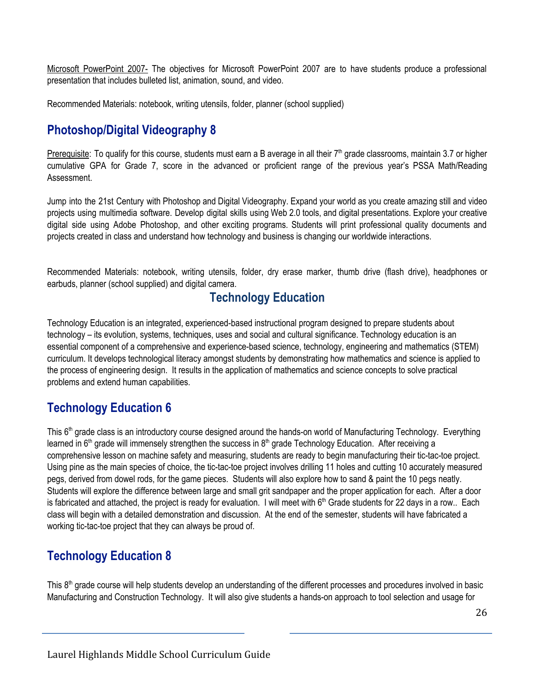Microsoft PowerPoint 2007- The objectives for Microsoft PowerPoint 2007 are to have students produce a professional presentation that includes bulleted list, animation, sound, and video.

Recommended Materials: notebook, writing utensils, folder, planner (school supplied)

### **Photoshop/Digital Videography 8**

Prerequisite: To qualify for this course, students must earn a B average in all their 7<sup>th</sup> grade classrooms, maintain 3.7 or higher cumulative GPA for Grade 7, score in the advanced or proficient range of the previous year's PSSA Math/Reading Assessment.

Jump into the 21st Century with Photoshop and Digital Videography. Expand your world as you create amazing still and video projects using multimedia software. Develop digital skills using Web 2.0 tools, and digital presentations. Explore your creative digital side using Adobe Photoshop, and other exciting programs. Students will print professional quality documents and projects created in class and understand how technology and business is changing our worldwide interactions.

Recommended Materials: notebook, writing utensils, folder, dry erase marker, thumb drive (flash drive), headphones or earbuds, planner (school supplied) and digital camera.

#### **Technology Education**

Technology Education is an integrated, experienced-based instructional program designed to prepare students about technology – its evolution, systems, techniques, uses and social and cultural significance. Technology education is an essential component of a comprehensive and experience-based science, technology, engineering and mathematics (STEM) curriculum. It develops technological literacy amongst students by demonstrating how mathematics and science is applied to the process of engineering design. It results in the application of mathematics and science concepts to solve practical problems and extend human capabilities.

### **Technology Education 6**

This 6<sup>th</sup> grade class is an introductory course designed around the hands-on world of Manufacturing Technology. Everything learned in 6<sup>th</sup> grade will immensely strengthen the success in 8<sup>th</sup> grade Technology Education. After receiving a comprehensive lesson on machine safety and measuring, students are ready to begin manufacturing their tic-tac-toe project. Using pine as the main species of choice, the tic-tac-toe project involves drilling 11 holes and cutting 10 accurately measured pegs, derived from dowel rods, for the game pieces. Students will also explore how to sand & paint the 10 pegs neatly. Students will explore the difference between large and small grit sandpaper and the proper application for each. After a door is fabricated and attached, the project is ready for evaluation. I will meet with 6<sup>th</sup> Grade students for 22 days in a row.. Each class will begin with a detailed demonstration and discussion. At the end of the semester, students will have fabricated a working tic-tac-toe project that they can always be proud of.

### **Technology Education 8**

This 8<sup>th</sup> grade course will help students develop an understanding of the different processes and procedures involved in basic Manufacturing and Construction Technology. It will also give students a hands-on approach to tool selection and usage for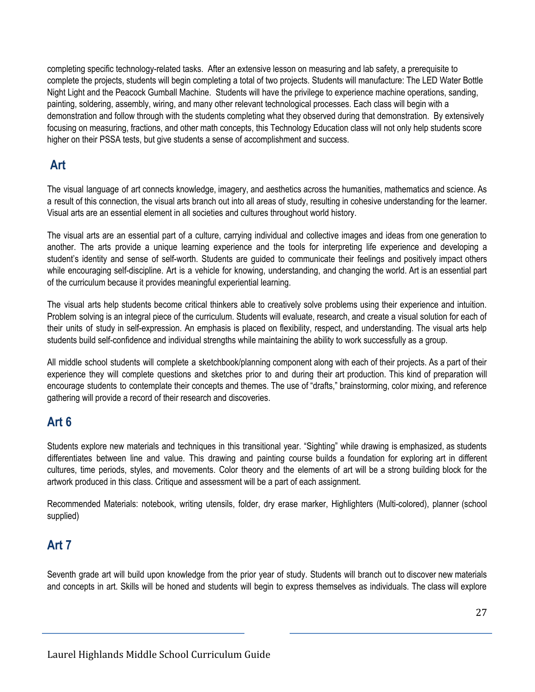completing specific technology-related tasks. After an extensive lesson on measuring and lab safety, a prerequisite to complete the projects, students will begin completing a total of two projects. Students will manufacture: The LED Water Bottle Night Light and the Peacock Gumball Machine. Students will have the privilege to experience machine operations, sanding, painting, soldering, assembly, wiring, and many other relevant technological processes. Each class will begin with a demonstration and follow through with the students completing what they observed during that demonstration. By extensively focusing on measuring, fractions, and other math concepts, this Technology Education class will not only help students score higher on their PSSA tests, but give students a sense of accomplishment and success.

#### **Art**

The visual language of art connects knowledge, imagery, and aesthetics across the humanities, mathematics and science. As a result of this connection, the visual arts branch out into all areas of study, resulting in cohesive understanding for the learner. Visual arts are an essential element in all societies and cultures throughout world history.

The visual arts are an essential part of a culture, carrying individual and collective images and ideas from one generation to another. The arts provide a unique learning experience and the tools for interpreting life experience and developing a student's identity and sense of self-worth. Students are guided to communicate their feelings and positively impact others while encouraging self-discipline. Art is a vehicle for knowing, understanding, and changing the world. Art is an essential part of the curriculum because it provides meaningful experiential learning.

The visual arts help students become critical thinkers able to creatively solve problems using their experience and intuition. Problem solving is an integral piece of the curriculum. Students will evaluate, research, and create a visual solution for each of their units of study in self-expression. An emphasis is placed on flexibility, respect, and understanding. The visual arts help students build self-confidence and individual strengths while maintaining the ability to work successfully as a group.

All middle school students will complete a sketchbook/planning component along with each of their projects. As a part of their experience they will complete questions and sketches prior to and during their art production. This kind of preparation will encourage students to contemplate their concepts and themes. The use of "drafts," brainstorming, color mixing, and reference gathering will provide a record of their research and discoveries.

### **Art 6**

Students explore new materials and techniques in this transitional year. "Sighting" while drawing is emphasized, as students differentiates between line and value. This drawing and painting course builds a foundation for exploring art in different cultures, time periods, styles, and movements. Color theory and the elements of art will be a strong building block for the artwork produced in this class. Critique and assessment will be a part of each assignment.

Recommended Materials: notebook, writing utensils, folder, dry erase marker, Highlighters (Multi-colored), planner (school supplied)

### **Art 7**

Seventh grade art will build upon knowledge from the prior year of study. Students will branch out to discover new materials and concepts in art. Skills will be honed and students will begin to express themselves as individuals. The class will explore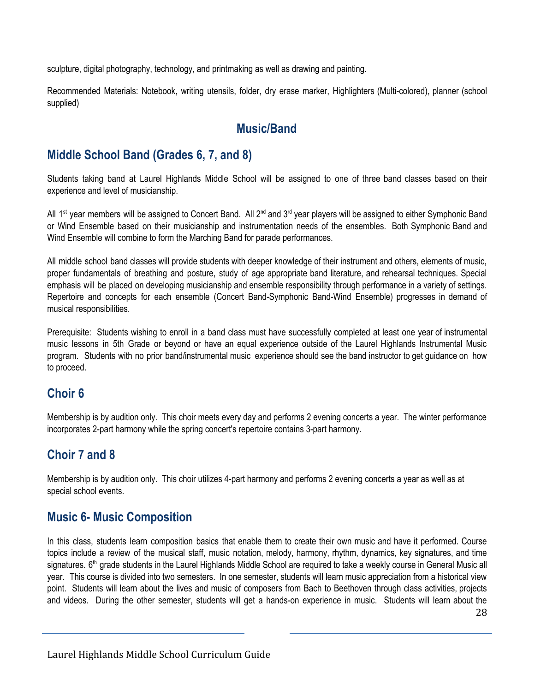sculpture, digital photography, technology, and printmaking as well as drawing and painting.

Recommended Materials: Notebook, writing utensils, folder, dry erase marker, Highlighters (Multi-colored), planner (school supplied)

### **Music/Band**

### **Middle School Band (Grades 6, 7, and 8)**

Students taking band at Laurel Highlands Middle School will be assigned to one of three band classes based on their experience and level of musicianship.

All 1<sup>st</sup> year members will be assigned to Concert Band. All 2<sup>nd</sup> and 3<sup>rd</sup> year players will be assigned to either Symphonic Band or Wind Ensemble based on their musicianship and instrumentation needs of the ensembles. Both Symphonic Band and Wind Ensemble will combine to form the Marching Band for parade performances.

All middle school band classes will provide students with deeper knowledge of their instrument and others, elements of music, proper fundamentals of breathing and posture, study of age appropriate band literature, and rehearsal techniques. Special emphasis will be placed on developing musicianship and ensemble responsibility through performance in a variety of settings. Repertoire and concepts for each ensemble (Concert Band-Symphonic Band-Wind Ensemble) progresses in demand of musical responsibilities.

Prerequisite: Students wishing to enroll in a band class must have successfully completed at least one year of instrumental music lessons in 5th Grade or beyond or have an equal experience outside of the Laurel Highlands Instrumental Music program. Students with no prior band/instrumental music experience should see the band instructor to get guidance on how to proceed.

### **Choir 6**

Membership is by audition only. This choir meets every day and performs 2 evening concerts a year. The winter performance incorporates 2-part harmony while the spring concert's repertoire contains 3-part harmony.

### **Choir 7 and 8**

Membership is by audition only. This choir utilizes 4-part harmony and performs 2 evening concerts a year as well as at special school events.

#### **Music 6- Music Composition**

In this class, students learn composition basics that enable them to create their own music and have it performed. Course topics include a review of the musical staff, music notation, melody, harmony, rhythm, dynamics, key signatures, and time signatures. 6<sup>th</sup> grade students in the Laurel Highlands Middle School are required to take a weekly course in General Music all year. This course is divided into two semesters. In one semester, students will learn music appreciation from a historical view point. Students will learn about the lives and music of composers from Bach to Beethoven through class activities, projects and videos. During the other semester, students will get a hands-on experience in music. Students will learn about the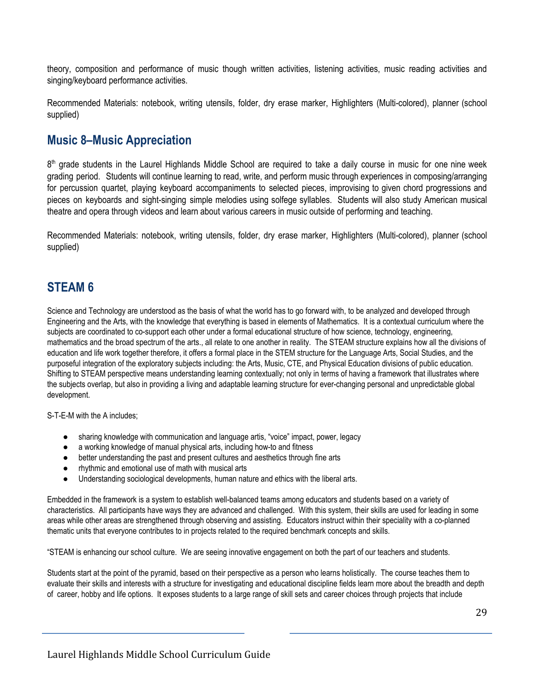theory, composition and performance of music though written activities, listening activities, music reading activities and singing/keyboard performance activities.

Recommended Materials: notebook, writing utensils, folder, dry erase marker, Highlighters (Multi-colored), planner (school supplied)

#### **Music 8–Music Appreciation**

8<sup>th</sup> grade students in the Laurel Highlands Middle School are required to take a daily course in music for one nine week grading period. Students will continue learning to read, write, and perform music through experiences in composing/arranging for percussion quartet, playing keyboard accompaniments to selected pieces, improvising to given chord progressions and pieces on keyboards and sight-singing simple melodies using solfege syllables. Students will also study American musical theatre and opera through videos and learn about various careers in music outside of performing and teaching.

Recommended Materials: notebook, writing utensils, folder, dry erase marker, Highlighters (Multi-colored), planner (school supplied)

#### **STEAM 6**

Science and Technology are understood as the basis of what the world has to go forward with, to be analyzed and developed through Engineering and the Arts, with the knowledge that everything is based in elements of Mathematics. It is a contextual curriculum where the subjects are coordinated to co-support each other under a formal educational structure of how science, technology, engineering, mathematics and the broad spectrum of the arts., all relate to one another in reality. The STEAM structure explains how all the divisions of education and life work together therefore, it offers a formal place in the STEM structure for the Language Arts, Social Studies, and the purposeful integration of the exploratory subjects including: the Arts, Music, CTE, and Physical Education divisions of public education. Shifting to STEAM perspective means understanding learning contextually; not only in terms of having a framework that illustrates where the subjects overlap, but also in providing a living and adaptable learning structure for ever-changing personal and unpredictable global development.

S-T-E-M with the A includes;

- sharing knowledge with communication and language artis, "voice" impact, power, legacy
- a working knowledge of manual physical arts, including how-to and fitness
- better understanding the past and present cultures and aesthetics through fine arts
- rhythmic and emotional use of math with musical arts
- Understanding sociological developments, human nature and ethics with the liberal arts.

Embedded in the framework is a system to establish well-balanced teams among educators and students based on a variety of characteristics. All participants have ways they are advanced and challenged. With this system, their skills are used for leading in some areas while other areas are strengthened through observing and assisting. Educators instruct within their speciality with a co-planned thematic units that everyone contributes to in projects related to the required benchmark concepts and skills.

"STEAM is enhancing our school culture. We are seeing innovative engagement on both the part of our teachers and students.

Students start at the point of the pyramid, based on their perspective as a person who learns holistically. The course teaches them to evaluate their skills and interests with a structure for investigating and educational discipline fields learn more about the breadth and depth of career, hobby and life options. It exposes students to a large range of skill sets and career choices through projects that include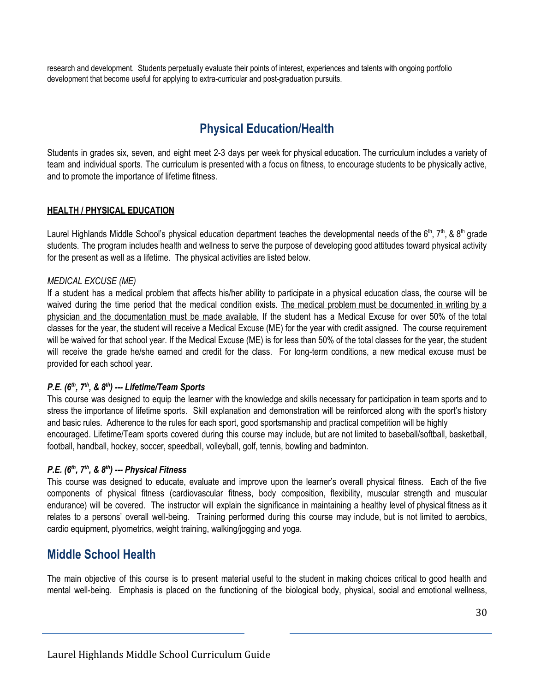research and development. Students perpetually evaluate their points of interest, experiences and talents with ongoing portfolio development that become useful for applying to extra-curricular and post-graduation pursuits.

### **Physical Education/Health**

Students in grades six, seven, and eight meet 2-3 days per week for physical education. The curriculum includes a variety of team and individual sports. The curriculum is presented with a focus on fitness, to encourage students to be physically active, and to promote the importance of lifetime fitness.

#### **HEALTH / PHYSICAL EDUCATION**

Laurel Highlands Middle School's physical education department teaches the developmental needs of the 6<sup>th</sup>, 7<sup>th</sup>, & 8<sup>th</sup> grade students. The program includes health and wellness to serve the purpose of developing good attitudes toward physical activity for the present as well as a lifetime. The physical activities are listed below.

#### *MEDICAL EXCUSE (ME)*

If a student has a medical problem that affects his/her ability to participate in a physical education class, the course will be waived during the time period that the medical condition exists. The medical problem must be documented in writing by a physician and the documentation must be made available. If the student has a Medical Excuse for over 50% of the total classes for the year, the student will receive a Medical Excuse (ME) for the year with credit assigned. The course requirement will be waived for that school year. If the Medical Excuse (ME) is for less than 50% of the total classes for the year, the student will receive the grade he/she earned and credit for the class. For long-term conditions, a new medical excuse must be provided for each school year.

#### *P.E. (6 th , 7 th , & 8 th ) --- Lifetime/Team Sports*

This course was designed to equip the learner with the knowledge and skills necessary for participation in team sports and to stress the importance of lifetime sports. Skill explanation and demonstration will be reinforced along with the sport's history and basic rules. Adherence to the rules for each sport, good sportsmanship and practical competition will be highly encouraged. Lifetime/Team sports covered during this course may include, but are not limited to baseball/softball, basketball, football, handball, hockey, soccer, speedball, volleyball, golf, tennis, bowling and badminton.

#### *P.E. (6 th , 7 th , & 8 th ) --- Physical Fitness*

This course was designed to educate, evaluate and improve upon the learner's overall physical fitness. Each of the five components of physical fitness (cardiovascular fitness, body composition, flexibility, muscular strength and muscular endurance) will be covered. The instructor will explain the significance in maintaining a healthy level of physical fitness as it relates to a persons' overall well-being. Training performed during this course may include, but is not limited to aerobics, cardio equipment, plyometrics, weight training, walking/jogging and yoga.

#### **Middle School Health**

The main objective of this course is to present material useful to the student in making choices critical to good health and mental well-being. Emphasis is placed on the functioning of the biological body, physical, social and emotional wellness,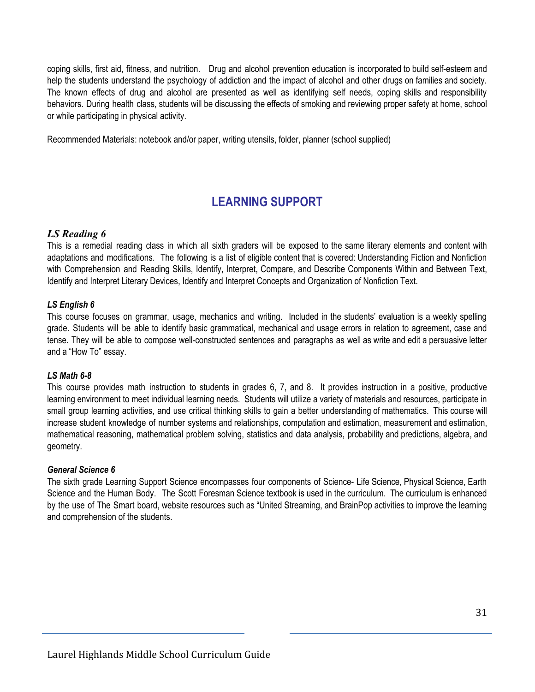coping skills, first aid, fitness, and nutrition. Drug and alcohol prevention education is incorporated to build self-esteem and help the students understand the psychology of addiction and the impact of alcohol and other drugs on families and society. The known effects of drug and alcohol are presented as well as identifying self needs, coping skills and responsibility behaviors. During health class, students will be discussing the effects of smoking and reviewing proper safety at home, school or while participating in physical activity.

Recommended Materials: notebook and/or paper, writing utensils, folder, planner (school supplied)

### **LEARNING SUPPORT**

#### *LS Reading 6*

This is a remedial reading class in which all sixth graders will be exposed to the same literary elements and content with adaptations and modifications. The following is a list of eligible content that is covered: Understanding Fiction and Nonfiction with Comprehension and Reading Skills, Identify, Interpret, Compare, and Describe Components Within and Between Text, Identify and Interpret Literary Devices, Identify and Interpret Concepts and Organization of Nonfiction Text.

#### *LS English 6*

This course focuses on grammar, usage, mechanics and writing. Included in the students' evaluation is a weekly spelling grade. Students will be able to identify basic grammatical, mechanical and usage errors in relation to agreement, case and tense. They will be able to compose well-constructed sentences and paragraphs as well as write and edit a persuasive letter and a "How To" essay.

#### *LS Math 6-8*

This course provides math instruction to students in grades 6, 7, and 8. It provides instruction in a positive, productive learning environment to meet individual learning needs. Students will utilize a variety of materials and resources, participate in small group learning activities, and use critical thinking skills to gain a better understanding of mathematics. This course will increase student knowledge of number systems and relationships, computation and estimation, measurement and estimation, mathematical reasoning, mathematical problem solving, statistics and data analysis, probability and predictions, algebra, and geometry.

#### *General Science 6*

The sixth grade Learning Support Science encompasses four components of Science- Life Science, Physical Science, Earth Science and the Human Body. The Scott Foresman Science textbook is used in the curriculum. The curriculum is enhanced by the use of The Smart board, website resources such as "United Streaming, and BrainPop activities to improve the learning and comprehension of the students.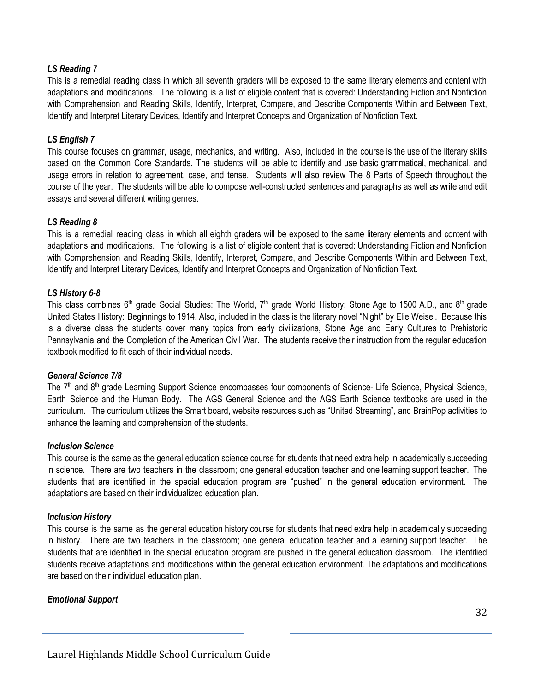#### *LS Reading 7*

This is a remedial reading class in which all seventh graders will be exposed to the same literary elements and content with adaptations and modifications. The following is a list of eligible content that is covered: Understanding Fiction and Nonfiction with Comprehension and Reading Skills, Identify, Interpret, Compare, and Describe Components Within and Between Text, Identify and Interpret Literary Devices, Identify and Interpret Concepts and Organization of Nonfiction Text.

#### *LS English 7*

This course focuses on grammar, usage, mechanics, and writing. Also, included in the course is the use of the literary skills based on the Common Core Standards. The students will be able to identify and use basic grammatical, mechanical, and usage errors in relation to agreement, case, and tense. Students will also review The 8 Parts of Speech throughout the course of the year. The students will be able to compose well-constructed sentences and paragraphs as well as write and edit essays and several different writing genres.

#### *LS Reading 8*

This is a remedial reading class in which all eighth graders will be exposed to the same literary elements and content with adaptations and modifications. The following is a list of eligible content that is covered: Understanding Fiction and Nonfiction with Comprehension and Reading Skills, Identify, Interpret, Compare, and Describe Components Within and Between Text, Identify and Interpret Literary Devices, Identify and Interpret Concepts and Organization of Nonfiction Text.

#### *LS History 6-8*

This class combines 6<sup>th</sup> grade Social Studies: The World, 7<sup>th</sup> grade World History: Stone Age to 1500 A.D., and 8<sup>th</sup> grade United States History: Beginnings to 1914. Also, included in the class is the literary novel "Night" by Elie Weisel. Because this is a diverse class the students cover many topics from early civilizations, Stone Age and Early Cultures to Prehistoric Pennsylvania and the Completion of the American Civil War. The students receive their instruction from the regular education textbook modified to fit each of their individual needs.

#### *General Science 7/8*

The 7<sup>th</sup> and 8<sup>th</sup> grade Learning Support Science encompasses four components of Science- Life Science, Physical Science, Earth Science and the Human Body. The AGS General Science and the AGS Earth Science textbooks are used in the curriculum. The curriculum utilizes the Smart board, website resources such as "United Streaming", and BrainPop activities to enhance the learning and comprehension of the students.

#### *Inclusion Science*

This course is the same as the general education science course for students that need extra help in academically succeeding in science. There are two teachers in the classroom; one general education teacher and one learning support teacher. The students that are identified in the special education program are "pushed" in the general education environment. The adaptations are based on their individualized education plan.

#### *Inclusion History*

This course is the same as the general education history course for students that need extra help in academically succeeding in history. There are two teachers in the classroom; one general education teacher and a learning support teacher. The students that are identified in the special education program are pushed in the general education classroom. The identified students receive adaptations and modifications within the general education environment. The adaptations and modifications are based on their individual education plan.

#### *Emotional Support*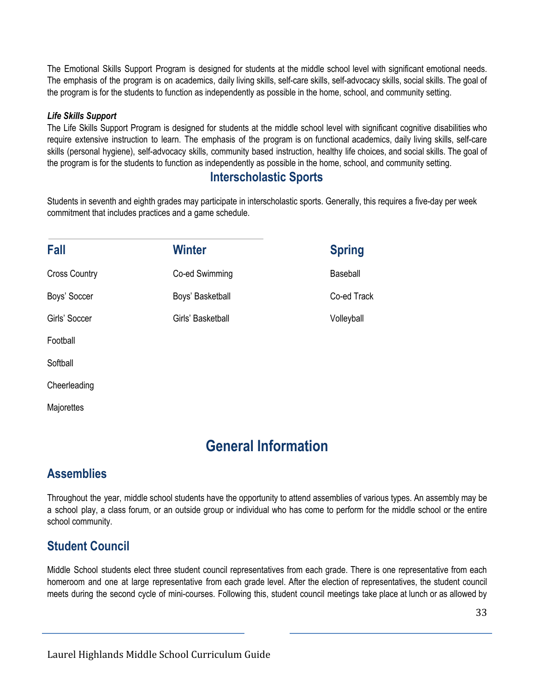The Emotional Skills Support Program is designed for students at the middle school level with significant emotional needs. The emphasis of the program is on academics, daily living skills, self-care skills, self-advocacy skills, social skills. The goal of the program is for the students to function as independently as possible in the home, school, and community setting.

#### *Life Skills Support*

The Life Skills Support Program is designed for students at the middle school level with significant cognitive disabilities who require extensive instruction to learn. The emphasis of the program is on functional academics, daily living skills, self-care skills (personal hygiene), self-advocacy skills, community based instruction, healthy life choices, and social skills. The goal of the program is for the students to function as independently as possible in the home, school, and community setting.

#### **Interscholastic Sports**

Students in seventh and eighth grades may participate in interscholastic sports. Generally, this requires a five-day per week commitment that includes practices and a game schedule.

| Fall                 | Winter            | <b>Spring</b> |
|----------------------|-------------------|---------------|
| <b>Cross Country</b> | Co-ed Swimming    | Baseball      |
| Boys' Soccer         | Boys' Basketball  | Co-ed Track   |
| Girls' Soccer        | Girls' Basketball | Volleyball    |
| Football             |                   |               |

**Softball** 

**Cheerleading** 

**Majorettes** 

# **General Information**

#### **Assemblies**

Throughout the year, middle school students have the opportunity to attend assemblies of various types. An assembly may be a school play, a class forum, or an outside group or individual who has come to perform for the middle school or the entire school community.

#### **Student Council**

Middle School students elect three student council representatives from each grade. There is one representative from each homeroom and one at large representative from each grade level. After the election of representatives, the student council meets during the second cycle of mini-courses. Following this, student council meetings take place at lunch or as allowed by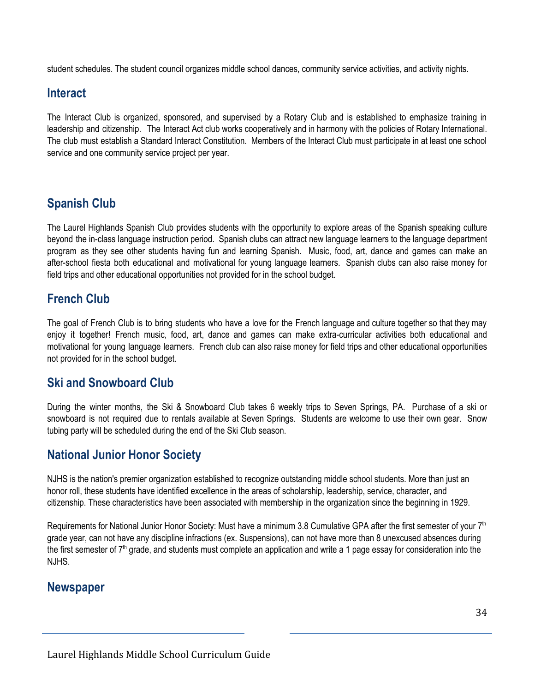student schedules. The student council organizes middle school dances, community service activities, and activity nights.

#### **Interact**

The Interact Club is organized, sponsored, and supervised by a Rotary Club and is established to emphasize training in leadership and citizenship. The Interact Act club works cooperatively and in harmony with the policies of Rotary International. The club must establish a Standard Interact Constitution. Members of the Interact Club must participate in at least one school service and one community service project per year.

### **Spanish Club**

The Laurel Highlands Spanish Club provides students with the opportunity to explore areas of the Spanish speaking culture beyond the in-class language instruction period. Spanish clubs can attract new language learners to the language department program as they see other students having fun and learning Spanish. Music, food, art, dance and games can make an after-school fiesta both educational and motivational for young language learners. Spanish clubs can also raise money for field trips and other educational opportunities not provided for in the school budget.

### **French Club**

The goal of French Club is to bring students who have a love for the French language and culture together so that they may enjoy it together! French music, food, art, dance and games can make extra-curricular activities both educational and motivational for young language learners. French club can also raise money for field trips and other educational opportunities not provided for in the school budget.

#### **Ski and Snowboard Club**

During the winter months, the Ski & Snowboard Club takes 6 weekly trips to Seven Springs, PA. Purchase of a ski or snowboard is not required due to rentals available at Seven Springs. Students are welcome to use their own gear. Snow tubing party will be scheduled during the end of the Ski Club season.

### **National Junior Honor Society**

NJHS is the nation's premier organization established to recognize outstanding middle school students. More than just an honor roll, these students have identified excellence in the areas of scholarship, leadership, service, character, and citizenship. These characteristics have been associated with membership in the organization since the beginning in 1929.

Requirements for National Junior Honor Society: Must have a minimum 3.8 Cumulative GPA after the first semester of your 7<sup>th</sup> grade year, can not have any discipline infractions (ex. Suspensions), can not have more than 8 unexcused absences during the first semester of  $7<sup>th</sup>$  grade, and students must complete an application and write a 1 page essay for consideration into the NJHS.

#### **Newspaper**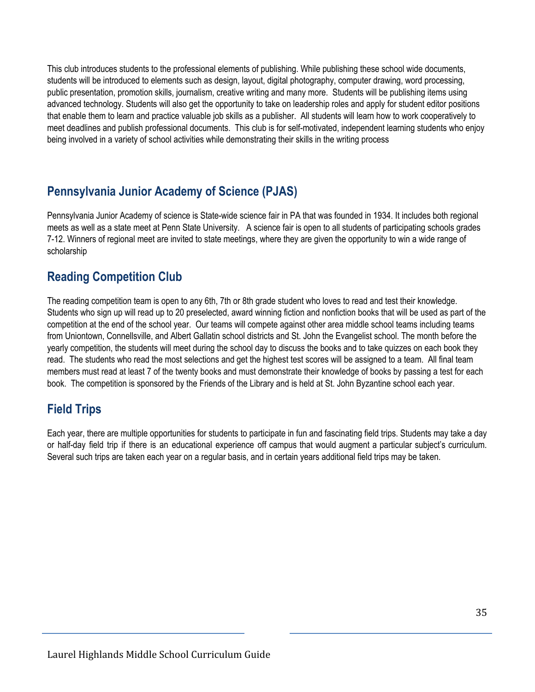This club introduces students to the professional elements of publishing. While publishing these school wide documents, students will be introduced to elements such as design, layout, digital photography, computer drawing, word processing, public presentation, promotion skills, journalism, creative writing and many more. Students will be publishing items using advanced technology. Students will also get the opportunity to take on leadership roles and apply for student editor positions that enable them to learn and practice valuable job skills as a publisher. All students will learn how to work cooperatively to meet deadlines and publish professional documents. This club is for self-motivated, independent learning students who enjoy being involved in a variety of school activities while demonstrating their skills in the writing process

### **Pennsylvania Junior Academy of Science (PJAS)**

Pennsylvania Junior Academy of science is State-wide science fair in PA that was founded in 1934. It includes both regional meets as well as a state meet at Penn State University. A science fair is open to all students of participating schools grades 7-12. Winners of regional meet are invited to state meetings, where they are given the opportunity to win a wide range of scholarship

### **Reading Competition Club**

The reading competition team is open to any 6th, 7th or 8th grade student who loves to read and test their knowledge. Students who sign up will read up to 20 preselected, award winning fiction and nonfiction books that will be used as part of the competition at the end of the school year. Our teams will compete against other area middle school teams including teams from Uniontown, Connellsville, and Albert Gallatin school districts and St. John the Evangelist school. The month before the yearly competition, the students will meet during the school day to discuss the books and to take quizzes on each book they read. The students who read the most selections and get the highest test scores will be assigned to a team. All final team members must read at least 7 of the twenty books and must demonstrate their knowledge of books by passing a test for each book. The competition is sponsored by the Friends of the Library and is held at St. John Byzantine school each year.

### **Field Trips**

Each year, there are multiple opportunities for students to participate in fun and fascinating field trips. Students may take a day or half-day field trip if there is an educational experience off campus that would augment a particular subject's curriculum. Several such trips are taken each year on a regular basis, and in certain years additional field trips may be taken.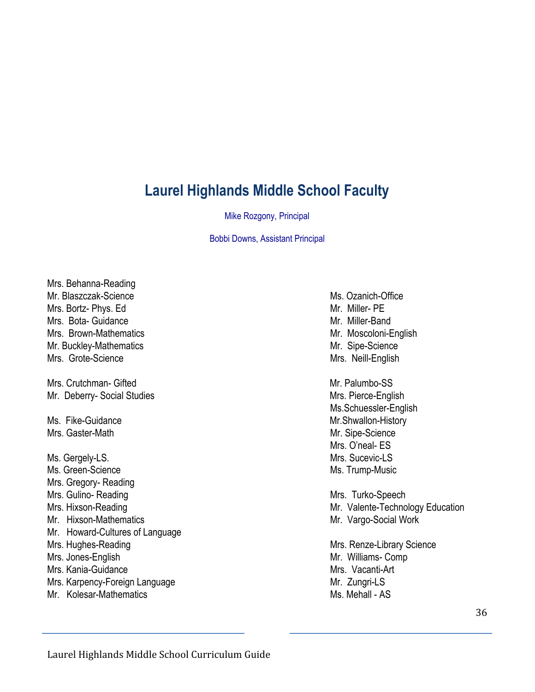# **Laurel Highlands Middle School Faculty**

Mike Rozgony, Principal

Bobbi Downs, Assistant Principal

Mrs. Behanna-Reading Mr. Blaszczak-Science Ms. Ozanich-Office Mrs. Bortz- Phys. Ed Mrs. Miller- PE Mrs. Bota- Guidance Mrs. And The Mrs. More of Mr. Miller-Band Mrs. Brown-Mathematics Mrs. Brown-Mathematics Mrs. Mr. Moscoloni-English Mr. Buckley-Mathematics Mr. Sipe-Science Mrs. Grote-Science Mrs. Neill-English Mrs. Crutchman- Gifted Mrs. 2008 Mrs. Palumbo-SS Mr. Deberry- Social Studies Mrs. Pierce-English Ms. Fike-Guidance Mr.Shwallon-History Mrs. Gaster-Math Mrs. Gaster-Math Ms. Gergely-LS. **Mrs.** Sucevic-LS Ms. Green-Science Ms. Trump-Music Mrs. Gregory- Reading Mrs. Gulino- Reading Mrs. Turko-Speech Mrs. Hixson-Reading Mrs. Hixson-Reading Mrs. Hixton-Reading Mrs. Valente-Technology Education Mr. Hixson-Mathematics Mr. Vargo-Social Work Mr. Howard-Cultures of Language Mrs. Hughes-Reading Mrs. Renze-Library Science Mrs. Jones-English Mrs. 1999. The Mrs. Williams- Comp. Mr. Williams- Comp. Mrs. Kania-Guidance Mrs. Vacanti-Art Mrs. Karpency-Foreign Language Mrs. Zungri-LS Mr. Kolesar-Mathematics Ms. Mehall - AS

Ms.Schuessler-English Mrs. O'neal- ES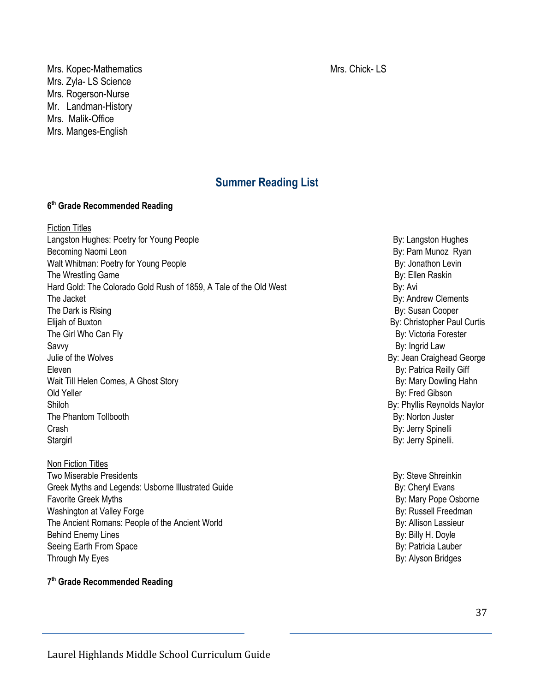Mrs. Kopec-Mathematics Mrs. Chick- LS Mrs. Zyla- LS Science Mrs. Rogerson-Nurse Mr. Landman-History Mrs. Malik-Office Mrs. Manges-English

#### **Summer Reading List**

#### **6 th Grade Recommended Reading**

Fiction Titles Langston Hughes: Poetry for Young People **By and Sound Accord By Exercise** By: Langston Hughes Becoming Naomi Leon By: Pam Munoz Ryan Walt Whitman: Poetry for Young People **By: Jonathon Levin** By: Jonathon Levin The Wrestling Game **By:** Ellen Raskin Hard Gold: The Colorado Gold Rush of 1859, A Tale of the Old West By: Avi The Jacket By: Andrew Clements The Dark is Rising **By:** Susan Cooper Elijah of Buxton Buxton Buxton Buxton Buxton Buxton Buston Buston Buston Buston Buston Buston Buston Buston Buston Buston Buston Buston Buston Buston Buston Buston Buston Buston Buston Buston Buston Buston Buston Buston Bu The Girl Who Can Fly By: Victoria Forester Savvy By: Ingrid Law Julie of the Wolves **By:** Jean Craighead George Eleven By: Patrica Reilly Giff Wait Till Helen Comes, A Ghost Story By: Mary Dowling Hahn Old Yeller By: Fred Gibson Shiloh By: Phyllis Reynolds Naylor The Phantom Tollbooth By: Norton Juster Crash By: Jerry Spinelli Stargirl By: Jerry Spinelli.

Non Fiction Titles Two Miserable Presidents **By: Steve Shreinkin** Greek Myths and Legends: Usborne Illustrated Guide By: Cheryl Evans Favorite Greek Myths **By:** Mary Pope Osborne Washington at Valley Forge **By: Russell Freedman** The Ancient Romans: People of the Ancient World By: Allison Lassieur Behind Enemy Lines By: Billy H. Doyle Seeing Earth From Space **By: Patricia Lauber** By: Patricia Lauber Through My Eyes By: Alyson Bridges and the United States and the United States and the By: Alyson Bridges

**7 th Grade Recommended Reading**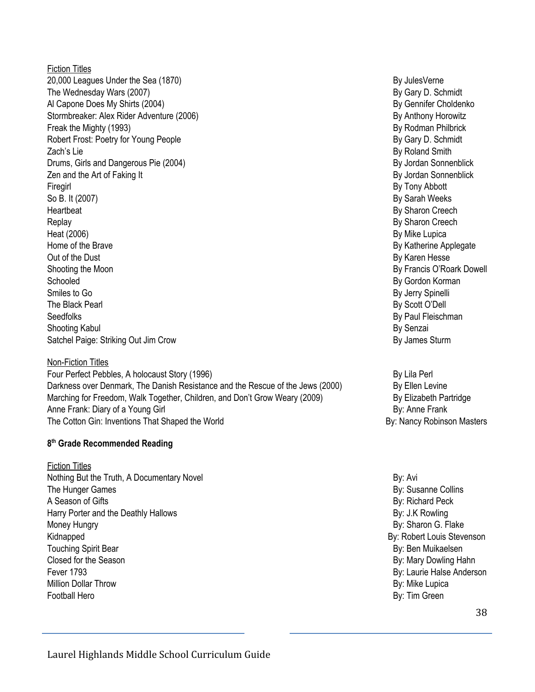Fiction Titles 20,000 Leagues Under the Sea (1870) By JulesVerne Sea (1870) The Wednesday Wars (2007) **By Gary D. Schmidt** Al Capone Does My Shirts (2004) **By General Algebra 2004** By Gennifer Choldenko Stormbreaker: Alex Rider Adventure (2006) **By Anthony Horowitz** By Anthony Horowitz Freak the Mighty (1993) **By Rodman Philbrick By Rodman Philbrick By Rodman Philbrick** Robert Frost: Poetry for Young People **By Gary D. Schmidt** By Gary D. Schmidt Zach's Lie By Roland Smith Drums, Girls and Dangerous Pie (2004) By Jordan Sonnenblick and Dangerous Pie (2004) Zen and the Art of Faking It By Jordan Sonnenblick and the Art of Faking It By Jordan Sonnenblick Firegirl By Tony Abbott So B. It (2007) **By Sarah Weeks** Heartbeat By Sharon Creech and the state of the state of the state of the state of the state of the state of the state of the state of the state of the state of the state of the state of the state of the state of the state Replay By Sharon Creech Heat (2006) By Mike Lupica Home of the Brave By Katherine Applegate By Katherine Applegate By Katherine Applegate Out of the Dust By Karen Hesse Shooting the Moon **By Francis O'Roark Dowell** Schooled By Gordon Korman By Gordon Korman By Gordon Korman By Gordon Korman By Gordon Korman By Gordon Korman Smiles to Go **By Jerry Spinelli** The Black Pearl By Scott O'Dell and the Black Pearl By Scott O'Dell and the Black Pearl By Scott O'Dell Seedfolks **By Paul Fleischman** Shooting Kabul By Senzai Satchel Paige: Striking Out Jim Crow By James Sturm By James Sturm

Non-Fiction Titles

Four Perfect Pebbles, A holocaust Story (1996) By Lila Perl By Lila Perl Darkness over Denmark, The Danish Resistance and the Rescue of the Jews (2000) By Ellen Levine Marching for Freedom, Walk Together, Children, and Don't Grow Weary (2009) By Elizabeth Partridge Anne Frank: Diary of a Young Girl By: Anne Frank The Cotton Gin: Inventions That Shaped the World By: Nancy Robinson Masters and By: Nancy Robinson Masters

#### **8 th Grade Recommended Reading**

Fiction Titles Nothing But the Truth, A Documentary Novel By: Avi By: Avi By: Avi By: Avi The Hunger Games **By: Susanne Collins** A Season of Gifts **By: Richard Peck** Harry Porter and the Deathly Hallows and the United States and the Deathly Hallows By: J.K Rowling Money Hungry **By:** Sharon G. Flake Kidnapped By: Robert Louis Stevenson Touching Spirit Bear By: Ben Muikaelsen Closed for the Season **By: Mary Dowling Hahn** Fever 1793 **By:** Laurie Halse Anderson Million Dollar Throw By: Mike Lupica Football Hero By: Tim Green